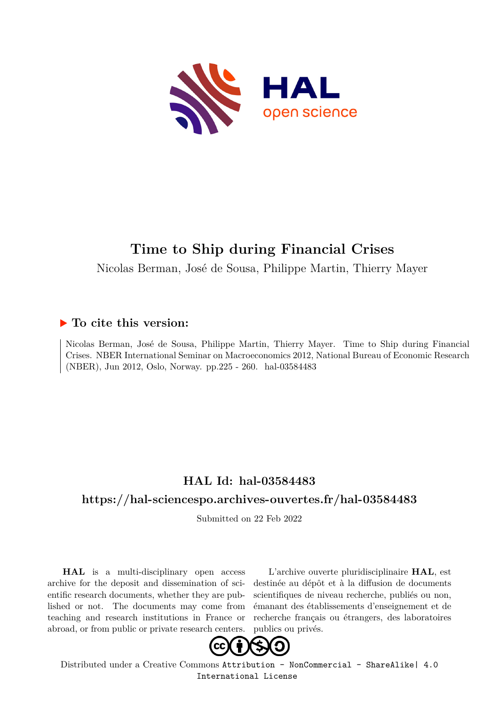

# **Time to Ship during Financial Crises**

Nicolas Berman, José de Sousa, Philippe Martin, Thierry Mayer

## **To cite this version:**

Nicolas Berman, José de Sousa, Philippe Martin, Thierry Mayer. Time to Ship during Financial Crises. NBER International Seminar on Macroeconomics 2012, National Bureau of Economic Research (NBER), Jun 2012, Oslo, Norway. pp.225 - 260. hal-03584483

## **HAL Id: hal-03584483**

## **<https://hal-sciencespo.archives-ouvertes.fr/hal-03584483>**

Submitted on 22 Feb 2022

**HAL** is a multi-disciplinary open access archive for the deposit and dissemination of scientific research documents, whether they are published or not. The documents may come from teaching and research institutions in France or abroad, or from public or private research centers.

L'archive ouverte pluridisciplinaire **HAL**, est destinée au dépôt et à la diffusion de documents scientifiques de niveau recherche, publiés ou non, émanant des établissements d'enseignement et de recherche français ou étrangers, des laboratoires publics ou privés.



Distributed under a Creative Commons [Attribution - NonCommercial - ShareAlike| 4.0](http://creativecommons.org/licenses/by-nc-sa/4.0/) [International License](http://creativecommons.org/licenses/by-nc-sa/4.0/)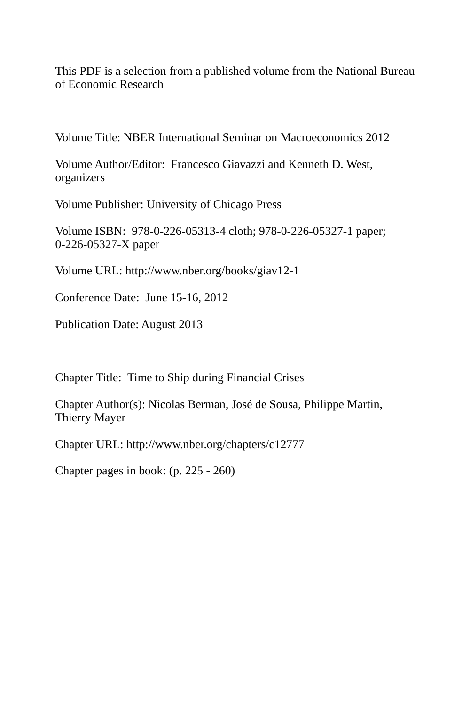This PDF is a [selection from a published volume from the N](http://www.jstor.org/stable/10.1086/669587?origin=JSTOR-pdf)ational Bureau of Economic Research

[Volume Title: NBER International Seminar on Ma](http://www.jstor.org/page/info/about/policies/terms.jsp)croeconomics 2012

Volume Author/Editor: Francesco Giavazzi and Kenneth D. West, organizers

Volume Publisher: University of Chicago Press

Volume ISBN: 978-0-226-05313-4 cloth; 978-0-226-05327-1 paper; 0-226-05327-X paper

Volume URL: http://www.nber.org/books/giav12-1

Conference Date: June 15-16, 2012

Publication Date: August 2013

Chapter Title: Time to Ship during Financial Crises

Chapter Author(s): Nicolas Berman, José de Sousa, Philippe Martin, Thierry Mayer

Chapter URL: http://www.nber.org/chapters/c12777

Chapter pages in book: (p. 225 - 260)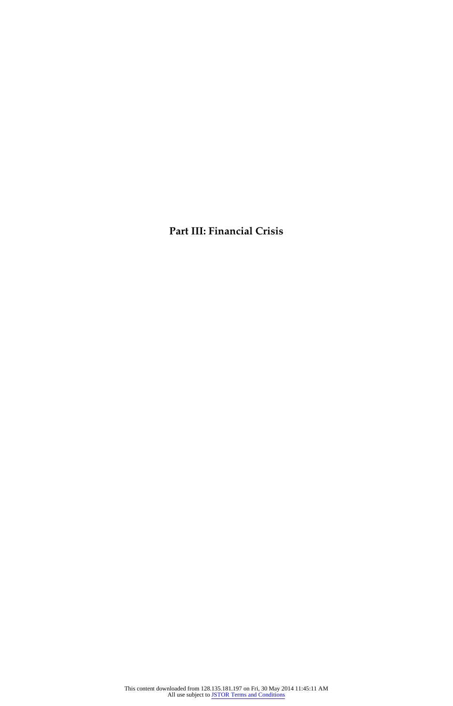**Part III: Financial Crisis**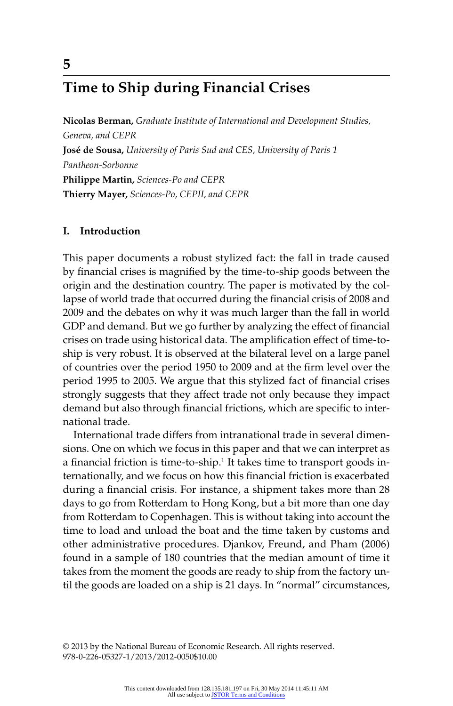## **Time to Ship during Financial Crises**

**Nicolas Berman,** *Graduate Institute of International and Development Studies, Geneva, and CEPR* **José de Sousa,** *University of Paris Sud and CES, University of Paris 1 Pantheon- Sorbonne* **Philippe Martin,** *Sciences- Po and CEPR* **Thierry Mayer,** *Sciences- Po, CEPII, and CEPR*

### **I. Introduction**

This paper documents a robust stylized fact: the fall in trade caused by financial crises is magnified by the time-to-ship goods between the origin and the destination country. The paper is motivated by the collapse of world trade that occurred during the financial crisis of 2008 and 2009 and the debates on why it was much larger than the fall in world GDP and demand. But we go further by analyzing the effect of financial crises on trade using historical data. The amplification effect of time-toship is very robust. It is observed at the bilateral level on a large panel of countries over the period 1950 to 2009 and at the firm level over the period 1995 to 2005. We argue that this stylized fact of financial crises strongly suggests that they affect trade not only because they impact demand but also through financial frictions, which are specific to international trade.

International trade differs from intranational trade in several dimensions. One on which we focus in this paper and that we can interpret as a financial friction is time-to-ship. $^1$  It takes time to transport goods internationally, and we focus on how this financial friction is exacerbated during a financial crisis. For instance, a shipment takes more than 28 days to go from Rotterdam to Hong Kong, but a bit more than one day from Rotterdam to Copenhagen. This is without taking into account the time to load and unload the boat and the time taken by customs and other administrative procedures. Djankov, Freund, and Pham (2006) found in a sample of 180 countries that the median amount of time it takes from the moment the goods are ready to ship from the factory until the goods are loaded on a ship is 21 days. In "normal" circumstances,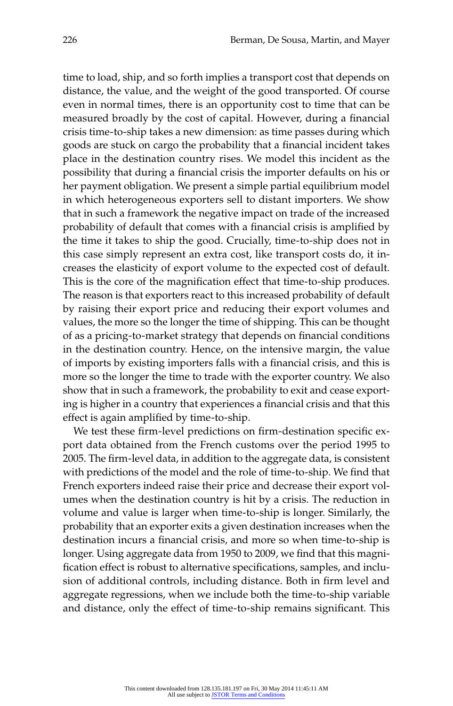time to load, ship, and so forth implies a transport cost that depends on distance, the value, and the weight of the good transported. Of course even in normal times, there is an opportunity cost to time that can be measured broadly by the cost of capital. However, during a financial crisis time- to- ship takes a new dimension: as time passes during which goods are stuck on cargo the probability that a financial incident takes place in the destination country rises. We model this incident as the possibility that during a financial crisis the importer defaults on his or her payment obligation. We present a simple partial equilibrium model in which heterogeneous exporters sell to distant importers. We show that in such a framework the negative impact on trade of the increased probability of default that comes with a financial crisis is amplified by the time it takes to ship the good. Crucially, time-to-ship does not in this case simply represent an extra cost, like transport costs do, it increases the elasticity of export volume to the expected cost of default. This is the core of the magnification effect that time-to-ship produces. The reason is that exporters react to this increased probability of default by raising their export price and reducing their export volumes and values, the more so the longer the time of shipping. This can be thought of as a pricing-to-market strategy that depends on financial conditions in the destination country. Hence, on the intensive margin, the value of imports by existing importers falls with a financial crisis, and this is more so the longer the time to trade with the exporter country. We also show that in such a framework, the probability to exit and cease exporting is higher in a country that experiences a financial crisis and that this effect is again amplified by time-to-ship.

We test these firm-level predictions on firm-destination specific export data obtained from the French customs over the period 1995 to 2005. The firm-level data, in addition to the aggregate data, is consistent with predictions of the model and the role of time-to-ship. We find that French exporters indeed raise their price and decrease their export volumes when the destination country is hit by a crisis. The reduction in volume and value is larger when time-to-ship is longer. Similarly, the probability that an exporter exits a given destination increases when the destination incurs a financial crisis, and more so when time-to-ship is longer. Using aggregate data from 1950 to 2009, we find that this magnification effect is robust to alternative specifications, samples, and inclusion of additional controls, including distance. Both in firm level and aggregate regressions, when we include both the time-to-ship variable and distance, only the effect of time-to-ship remains significant. This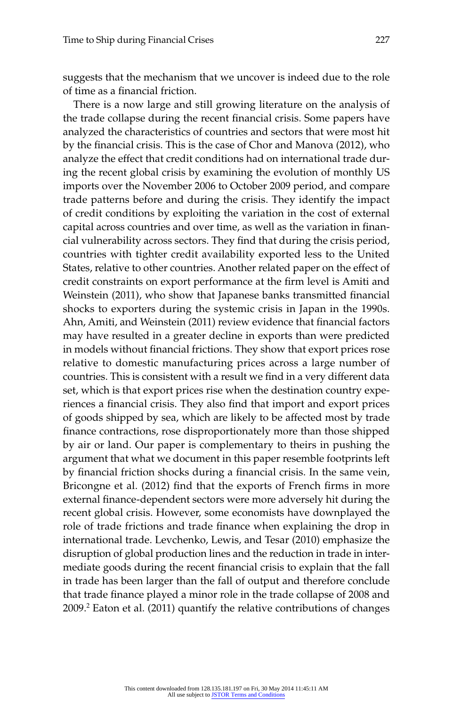suggests that the mechanism that we uncover is indeed due to the role of time as a financial friction.

There is a now large and still growing literature on the analysis of the trade collapse during the recent financial crisis. Some papers have analyzed the characteristics of countries and sectors that were most hit by the financial crisis. This is the case of Chor and Manova (2012), who analyze the effect that credit conditions had on international trade during the recent global crisis by examining the evolution of monthly US imports over the November 2006 to October 2009 period, and compare trade patterns before and during the crisis. They identify the impact of credit conditions by exploiting the variation in the cost of external capital across countries and over time, as well as the variation in financial vulnerability across sectors. They find that during the crisis period, countries with tighter credit availability exported less to the United States, relative to other countries. Another related paper on the effect of credit constraints on export performance at the firm level is Amiti and Weinstein (2011), who show that Japanese banks transmitted financial shocks to exporters during the systemic crisis in Japan in the 1990s. Ahn, Amiti, and Weinstein (2011) review evidence that financial factors may have resulted in a greater decline in exports than were predicted in models without financial frictions. They show that export prices rose relative to domestic manufacturing prices across a large number of countries. This is consistent with a result we find in a very different data set, which is that export prices rise when the destination country experiences a financial crisis. They also find that import and export prices of goods shipped by sea, which are likely to be affected most by trade finance contractions, rose disproportionately more than those shipped by air or land. Our paper is complementary to theirs in pushing the argument that what we document in this paper resemble footprints left by financial friction shocks during a financial crisis. In the same vein, Bricongne et al. (2012) find that the exports of French firms in more external finance-dependent sectors were more adversely hit during the recent global crisis. However, some economists have downplayed the role of trade frictions and trade finance when explaining the drop in international trade. Levchenko, Lewis, and Tesar (2010) emphasize the disruption of global production lines and the reduction in trade in intermediate goods during the recent financial crisis to explain that the fall in trade has been larger than the fall of output and therefore conclude that trade finance played a minor role in the trade collapse of 2008 and 2009.<sup>2</sup> Eaton et al. (2011) quantify the relative contributions of changes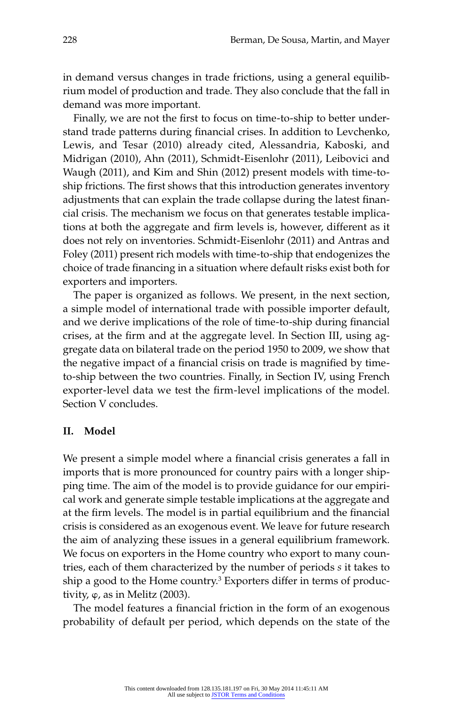in demand versus changes in trade frictions, using a general equilibrium model of production and trade. They also conclude that the fall in demand was more important.

Finally, we are not the first to focus on time-to-ship to better understand trade patterns during financial crises. In addition to Levchenko, Lewis, and Tesar (2010) already cited, Alessandria, Kaboski, and Midrigan (2010), Ahn (2011), Schmidt- Eisenlohr (2011), Leibovici and Waugh (2011), and Kim and Shin (2012) present models with time-toship frictions. The first shows that this introduction generates inventory adjustments that can explain the trade collapse during the latest financial crisis. The mechanism we focus on that generates testable implications at both the aggregate and firm levels is, however, different as it does not rely on inventories. Schmidt-Eisenlohr (2011) and Antras and Foley (2011) present rich models with time-to-ship that endogenizes the choice of trade financing in a situation where default risks exist both for exporters and importers.

The paper is organized as follows. We present, in the next section, a simple model of international trade with possible importer default, and we derive implications of the role of time-to-ship during financial crises, at the firm and at the aggregate level. In Section III, using aggregate data on bilateral trade on the period 1950 to 2009, we show that the negative impact of a financial crisis on trade is magnified by timeto- ship between the two countries. Finally, in Section IV, using French exporter-level data we test the firm-level implications of the model. Section V concludes.

#### **II. Model**

We present a simple model where a financial crisis generates a fall in imports that is more pronounced for country pairs with a longer shipping time. The aim of the model is to provide guidance for our empirical work and generate simple testable implications at the aggregate and at the firm levels. The model is in partial equilibrium and the financial crisis is considered as an exogenous event. We leave for future research the aim of analyzing these issues in a general equilibrium framework. We focus on exporters in the Home country who export to many countries, each of them characterized by the number of periods *s* it takes to ship a good to the Home country.<sup>3</sup> Exporters differ in terms of productivity,  $\varphi$ , as in Melitz (2003).

The model features a financial friction in the form of an exogenous probability of default per period, which depends on the state of the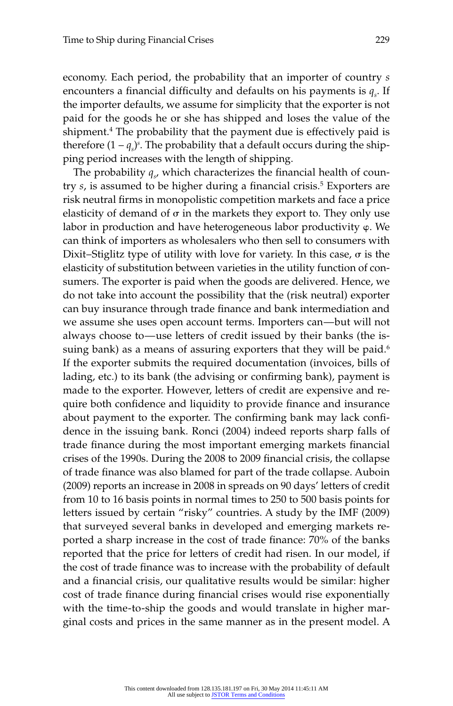economy. Each period, the probability that an importer of country *s* encounters a financial difficulty and defaults on his payments is  $q_s$ . If the importer defaults, we assume for simplicity that the exporter is not paid for the goods he or she has shipped and loses the value of the shipment.4 The probability that the payment due is effectively paid is therefore  $(1 - q_s)^s$ . The probability that a default occurs during the shipping period increases with the length of shipping.

The probability  $q_{s}$ , which characterizes the financial health of country *s,* is assumed to be higher during a financial crisis.<sup>5</sup> Exporters are risk neutral firms in monopolistic competition markets and face a price elasticity of demand of  $\sigma$  in the markets they export to. They only use labor in production and have heterogeneous labor productivity φ. We can think of importers as wholesalers who then sell to consumers with Dixit–Stiglitz type of utility with love for variety. In this case,  $\sigma$  is the elasticity of substitution between varieties in the utility function of consumers. The exporter is paid when the goods are delivered. Hence, we do not take into account the possibility that the (risk neutral) exporter can buy insurance through trade finance and bank intermediation and we assume she uses open account terms. Importers can—but will not always choose to—use letters of credit issued by their banks (the issuing bank) as a means of assuring exporters that they will be paid.<sup>6</sup> If the exporter submits the required documentation (invoices, bills of lading, etc.) to its bank (the advising or confirming bank), payment is made to the exporter. However, letters of credit are expensive and require both confidence and liquidity to provide finance and insurance about payment to the exporter. The confirming bank may lack confidence in the issuing bank. Ronci (2004) indeed reports sharp falls of trade finance during the most important emerging markets financial crises of the 1990s. During the 2008 to 2009 financial crisis, the collapse of trade finance was also blamed for part of the trade collapse. Auboin (2009) reports an increase in 2008 in spreads on 90 days' letters of credit from 10 to 16 basis points in normal times to 250 to 500 basis points for letters issued by certain "risky" countries. A study by the IMF (2009) that surveyed several banks in developed and emerging markets reported a sharp increase in the cost of trade finance: 70% of the banks reported that the price for letters of credit had risen. In our model, if the cost of trade finance was to increase with the probability of default and a financial crisis, our qualitative results would be similar: higher cost of trade finance during financial crises would rise exponentially with the time-to-ship the goods and would translate in higher marginal costs and prices in the same manner as in the present model. A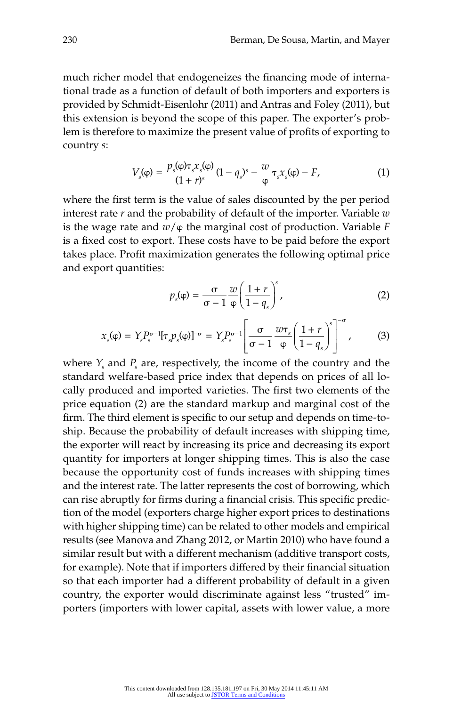much richer model that endogeneizes the financing mode of international trade as a function of default of both importers and exporters is provided by Schmidt-Eisenlohr (2011) and Antras and Foley (2011), but this extension is beyond the scope of this paper. The exporter's problem is therefore to maximize the present value of profits of exporting to country *s*:

$$
V_s(\varphi) = \frac{p_s(\varphi)\tau_s x_s(\varphi)}{(1+r)^s} (1-q_s)^s - \frac{w}{\varphi} \tau_s x_s(\varphi) - F,\tag{1}
$$

where the first term is the value of sales discounted by the per period interest rate *r* and the probability of default of the importer. Variable *w* is the wage rate and  $w/\varphi$  the marginal cost of production. Variable *F* is a fixed cost to export. These costs have to be paid before the export takes place. Profit maximization generates the following optimal price and export quantities:

$$
p_s(\varphi) = \frac{\sigma}{\sigma - 1} \frac{w}{\varphi} \left( \frac{1+r}{1-q_s} \right)^s, \tag{2}
$$

$$
x_s(\varphi) = Y_s P_s^{\sigma-1} [\tau_s p_s(\varphi)]^{-\sigma} = Y_s P_s^{\sigma-1} \left[ \frac{\sigma}{\sigma - 1} \frac{w \tau_s}{\varphi} \left( \frac{1+r}{1-q_s} \right)^s \right]^{-\sigma}, \tag{3}
$$

where  $Y_s$  and  $P_s$  are, respectively, the income of the country and the standard welfare-based price index that depends on prices of all locally produced and imported varieties. The first two elements of the price equation (2) are the standard markup and marginal cost of the firm. The third element is specific to our setup and depends on time-toship. Because the probability of default increases with shipping time, the exporter will react by increasing its price and decreasing its export quantity for importers at longer shipping times. This is also the case because the opportunity cost of funds increases with shipping times and the interest rate. The latter represents the cost of borrowing, which can rise abruptly for firms during a financial crisis. This specific prediction of the model (exporters charge higher export prices to destinations with higher shipping time) can be related to other models and empirical results (see Manova and Zhang 2012, or Martin 2010) who have found a similar result but with a different mechanism (additive transport costs, for example). Note that if importers differed by their financial situation so that each importer had a different probability of default in a given country, the exporter would discriminate against less "trusted" importers (importers with lower capital, assets with lower value, a more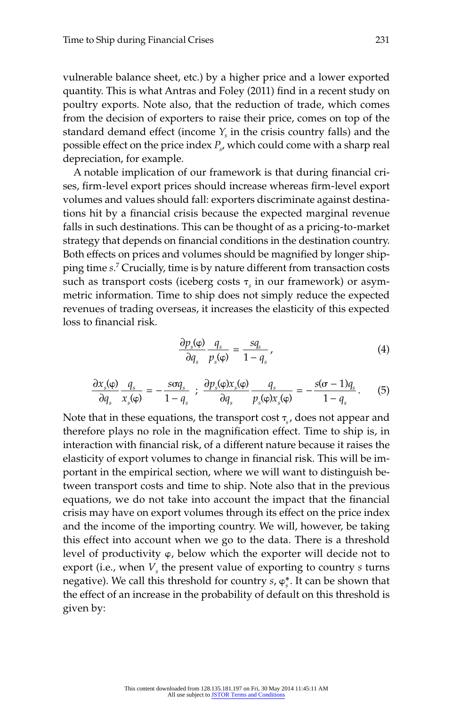vulnerable balance sheet, etc.) by a higher price and a lower exported quantity. This is what Antras and Foley (2011) find in a recent study on poultry exports. Note also, that the reduction of trade, which comes from the decision of exporters to raise their price, comes on top of the standard demand effect (income  $Y_s$  in the crisis country falls) and the possible effect on the price index *Ps* , which could come with a sharp real depreciation, for example.

A notable implication of our framework is that during financial crises, firm-level export prices should increase whereas firm-level export volumes and values should fall: exporters discriminate against destinations hit by a financial crisis because the expected marginal revenue falls in such destinations. This can be thought of as a pricing-to-market strategy that depends on financial conditions in the destination country. Both effects on prices and volumes should be magnified by longer shipping time *s*. 7 Crucially, time is by nature different from transaction costs such as transport costs (iceberg costs τ<sub>s</sub> in our framework) or asymmetric information. Time to ship does not simply reduce the expected revenues of trading overseas, it increases the elasticity of this expected loss to financial risk.

$$
\frac{\partial p_s(\varphi)}{\partial q_s} \frac{q_s}{p_s(\varphi)} = \frac{sq_s}{1 - q_s} \,, \tag{4}
$$

$$
\frac{\partial x_s(\varphi)}{\partial q_s} \frac{q_s}{x_s(\varphi)} = -\frac{s\sigma q_s}{1-q_s} \; ; \; \frac{\partial p_s(\varphi)x_s(\varphi)}{\partial q_s} \frac{q_s}{p_s(\varphi)x_s(\varphi)} = -\frac{s(\sigma - 1)q_s}{1-q_s} \,. \tag{5}
$$

Note that in these equations, the transport cost  $\tau_{s}$ , does not appear and therefore plays no role in the magnification effect. Time to ship is, in interaction with financial risk, of a different nature because it raises the elasticity of export volumes to change in financial risk. This will be important in the empirical section, where we will want to distinguish between transport costs and time to ship. Note also that in the previous equations, we do not take into account the impact that the financial crisis may have on export volumes through its effect on the price index and the income of the importing country. We will, however, be taking this effect into account when we go to the data. There is a threshold level of productivity φ, below which the exporter will decide not to export (i.e., when  $V<sub>s</sub>$  the present value of exporting to country *s* turns negative). We call this threshold for country  $s$ ,  $\varphi_s^*$ . It can be shown that the effect of an increase in the probability of default on this threshold is given by: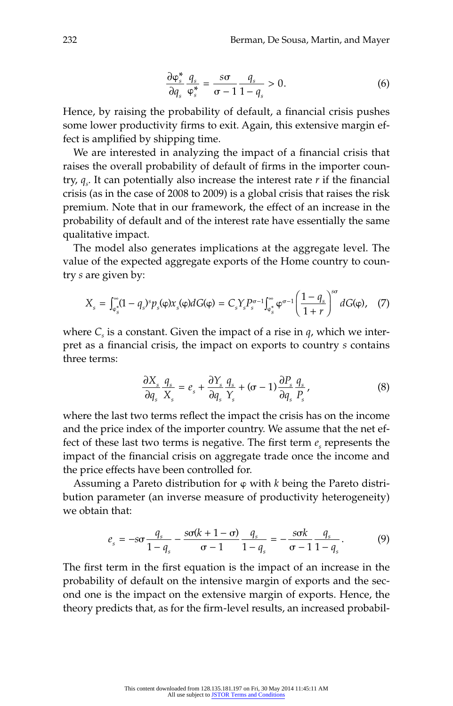$$
\frac{\partial \varphi_s^*}{\partial q_s} \frac{q_s}{\varphi_s^*} = \frac{s\sigma}{\sigma - 1} \frac{q_s}{1 - q_s} > 0. \tag{6}
$$

Hence, by raising the probability of default, a financial crisis pushes some lower productivity firms to exit. Again, this extensive margin effect is amplified by shipping time.

We are interested in analyzing the impact of a financial crisis that raises the overall probability of default of firms in the importer country,  $q_s$ . It can potentially also increase the interest rate *r* if the financial crisis (as in the case of 2008 to 2009) is a global crisis that raises the risk premium. Note that in our framework, the effect of an increase in the probability of default and of the interest rate have essentially the same qualitative impact.

The model also generates implications at the aggregate level. The value of the expected aggregate exports of the Home country to country *s* are given by:

$$
X_s = \int_{\varphi_s^*}^{\infty} (1 - q_s)^s p_s(\varphi) x_s(\varphi) dG(\varphi) = C_s Y_s P_s^{\sigma - 1} \int_{\varphi_s^*}^{\infty} \varphi^{\sigma - 1} \left( \frac{1 - q_s}{1 + r} \right)^{s\sigma} dG(\varphi), \quad (7)
$$

where  $C_s$  is a constant. Given the impact of a rise in  $q$ , which we interpret as a financial crisis, the impact on exports to country *s* contains three terms:

$$
\frac{\partial X_s}{\partial q_s} \frac{q_s}{X_s} = e_s + \frac{\partial Y_s}{\partial q_s} \frac{q_s}{Y_s} + (\sigma - 1) \frac{\partial P_s}{\partial q_s} \frac{q_s}{P_s},\tag{8}
$$

where the last two terms reflect the impact the crisis has on the income and the price index of the importer country. We assume that the net effect of these last two terms is negative. The first term  $e_s$  represents the impact of the financial crisis on aggregate trade once the income and the price effects have been controlled for.

Assuming a Pareto distribution for φ with *k* being the Pareto distribution parameter (an inverse measure of productivity heterogeneity) we obtain that:

$$
e_s = -s\sigma \frac{q_s}{1 - q_s} - \frac{s\sigma(k + 1 - \sigma)}{\sigma - 1} \frac{q_s}{1 - q_s} = -\frac{s\sigma k}{\sigma - 1} \frac{q_s}{1 - q_s}.
$$
 (9)

The first term in the first equation is the impact of an increase in the probability of default on the intensive margin of exports and the second one is the impact on the extensive margin of exports. Hence, the theory predicts that, as for the firm-level results, an increased probabil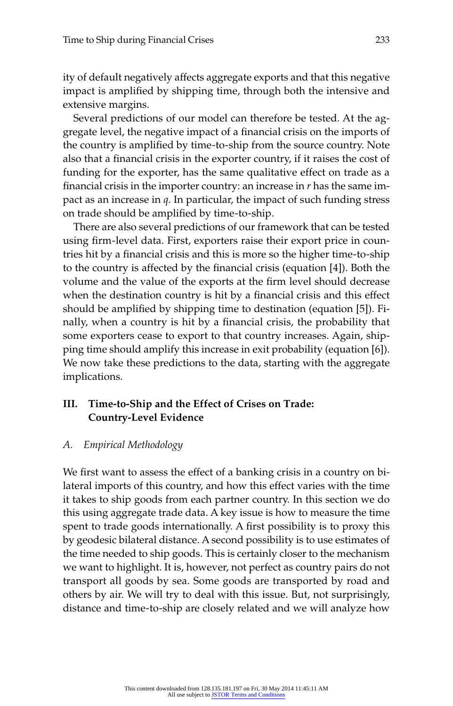ity of default negatively affects aggregate exports and that this negative impact is amplified by shipping time, through both the intensive and extensive margins.

Several predictions of our model can therefore be tested. At the aggregate level, the negative impact of a financial crisis on the imports of the country is amplified by time-to-ship from the source country. Note also that a financial crisis in the exporter country, if it raises the cost of funding for the exporter, has the same qualitative effect on trade as a financial crisis in the importer country: an increase in  $r$  has the same impact as an increase in *q*. In particular, the impact of such funding stress on trade should be amplified by time-to-ship.

There are also several predictions of our framework that can be tested using firm-level data. First, exporters raise their export price in countries hit by a financial crisis and this is more so the higher time-to-ship to the country is affected by the financial crisis (equation [4]). Both the volume and the value of the exports at the firm level should decrease when the destination country is hit by a financial crisis and this effect should be amplified by shipping time to destination (equation [5]). Finally, when a country is hit by a financial crisis, the probability that some exporters cease to export to that country increases. Again, shipping time should amplify this increase in exit probability (equation [6]). We now take these predictions to the data, starting with the aggregate implications.

### III. Time-to-Ship and the Effect of Crises on Trade: **Country- Level Evidence**

### *A. Empirical Methodology*

We first want to assess the effect of a banking crisis in a country on bilateral imports of this country, and how this effect varies with the time it takes to ship goods from each partner country. In this section we do this using aggregate trade data. A key issue is how to measure the time spent to trade goods internationally. A first possibility is to proxy this by geodesic bilateral distance. A second possibility is to use estimates of the time needed to ship goods. This is certainly closer to the mechanism we want to highlight. It is, however, not perfect as country pairs do not transport all goods by sea. Some goods are transported by road and others by air. We will try to deal with this issue. But, not surprisingly, distance and time-to-ship are closely related and we will analyze how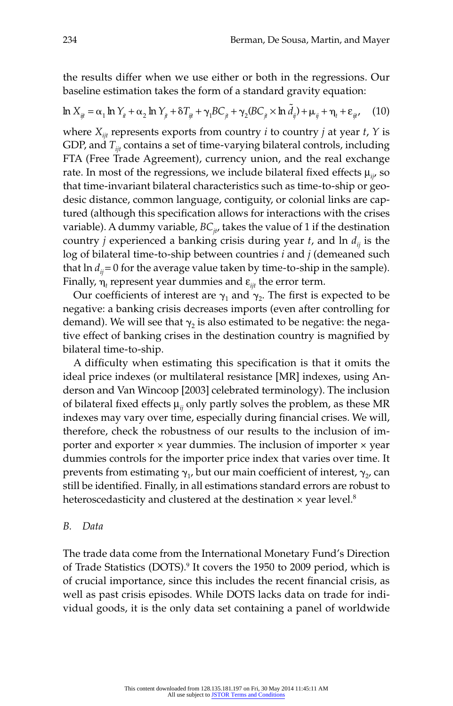the results differ when we use either or both in the regressions. Our baseline estimation takes the form of a standard gravity equation:

$$
\ln X_{ij} = \alpha_1 \ln Y_{it} + \alpha_2 \ln Y_{jt} + \delta T_{ij} + \gamma_1 BC_{jt} + \gamma_2 (BC_{jt} \times \ln \tilde{d}_{ij}) + \mu_{ij} + \eta_t + \varepsilon_{ijt} \tag{10}
$$

where  $X_{\text{int}}$  represents exports from country *i* to country *j* at year *t*, *Y* is GDP, and  $T_{ijt}$  contains a set of time-varying bilateral controls, including FTA (Free Trade Agreement), currency union, and the real exchange rate. In most of the regressions, we include bilateral fixed effects  $\mu_{ii}$ , so that time-invariant bilateral characteristics such as time-to-ship or geodesic distance, common language, contiguity, or colonial links are captured (although this specification allows for interactions with the crises variable). A dummy variable,  $BC_{i}$ , takes the value of 1 if the destination country *j* experienced a banking crisis during year *t*, and  $\ln d_{ii}$  is the log of bilateral time-to-ship between countries *i* and *j* (demeaned such that  $\ln d_{ii} = 0$  for the average value taken by time-to-ship in the sample). Finally, η*<sup>t</sup>* represent year dummies and ε*ijt* the error term.

Our coefficients of interest are  $\gamma_1$  and  $\gamma_2$ . The first is expected to be negative: a banking crisis decreases imports (even after controlling for demand). We will see that  $\gamma_2$  is also estimated to be negative: the negative effect of banking crises in the destination country is magnified by bilateral time-to-ship.

A difficulty when estimating this specification is that it omits the ideal price indexes (or multilateral resistance [MR] indexes, using Anderson and Van Wincoop [2003] celebrated terminology). The inclusion of bilateral fixed effects  $\mu_{ii}$  only partly solves the problem, as these MR indexes may vary over time, especially during financial crises. We will, therefore, check the robustness of our results to the inclusion of importer and exporter  $\times$  year dummies. The inclusion of importer  $\times$  year dummies controls for the importer price index that varies over time. It prevents from estimating  $\gamma_1$ , but our main coefficient of interest,  $\gamma_2$  can still be identified. Finally, in all estimations standard errors are robust to heteroscedasticity and clustered at the destination  $\times$  year level.<sup>8</sup>

#### *B. Data*

The trade data come from the International Monetary Fund's Direction of Trade Statistics (DOTS).<sup>9</sup> It covers the 1950 to 2009 period, which is of crucial importance, since this includes the recent financial crisis, as well as past crisis episodes. While DOTS lacks data on trade for individual goods, it is the only data set containing a panel of worldwide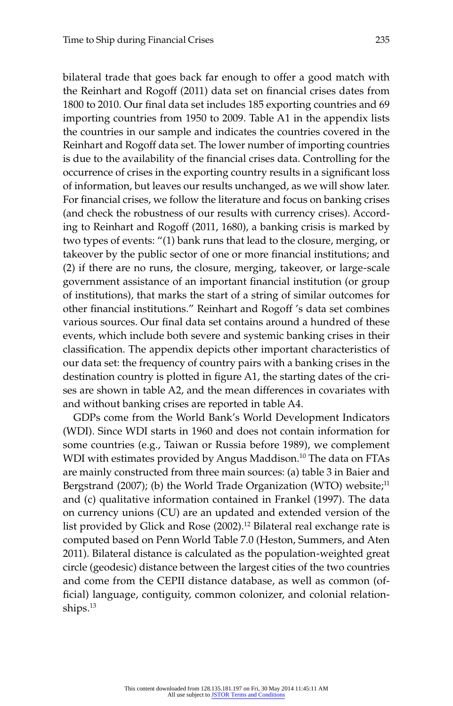bilateral trade that goes back far enough to offer a good match with the Reinhart and Rogoff (2011) data set on financial crises dates from 1800 to 2010. Our final data set includes 185 exporting countries and 69 importing countries from 1950 to 2009. Table A1 in the appendix lists the countries in our sample and indicates the countries covered in the Reinhart and Rogoff data set. The lower number of importing countries is due to the availability of the financial crises data. Controlling for the occurrence of crises in the exporting country results in a significant loss of information, but leaves our results unchanged, as we will show later. For financial crises, we follow the literature and focus on banking crises (and check the robustness of our results with currency crises). According to Reinhart and Rogoff (2011, 1680), a banking crisis is marked by two types of events: "(1) bank runs that lead to the closure, merging, or takeover by the public sector of one or more financial institutions; and (2) if there are no runs, the closure, merging, takeover, or large-scale government assistance of an important financial institution (or group of institutions), that marks the start of a string of similar outcomes for other financial institutions." Reinhart and Rogoff 's data set combines various sources. Our final data set contains around a hundred of these events, which include both severe and systemic banking crises in their classification. The appendix depicts other important characteristics of our data set: the frequency of country pairs with a banking crises in the destination country is plotted in figure A1, the starting dates of the crises are shown in table A2, and the mean differences in covariates with and without banking crises are reported in table A4.

GDPs come from the World Bank's World Development Indicators (WDI). Since WDI starts in 1960 and does not contain information for some countries (e.g., Taiwan or Russia before 1989), we complement WDI with estimates provided by Angus Maddison.<sup>10</sup> The data on FTAs are mainly constructed from three main sources: (a) table 3 in Baier and Bergstrand (2007); (b) the World Trade Organization (WTO) website; $^{11}$ and (c) qualitative information contained in Frankel (1997). The data on currency unions (CU) are an updated and extended version of the list provided by Glick and Rose (2002).<sup>12</sup> Bilateral real exchange rate is computed based on Penn World Table 7.0 (Heston, Summers, and Aten 2011). Bilateral distance is calculated as the population- weighted great circle (geodesic) distance between the largest cities of the two countries and come from the CEPII distance database, as well as common (official) language, contiguity, common colonizer, and colonial relationships.13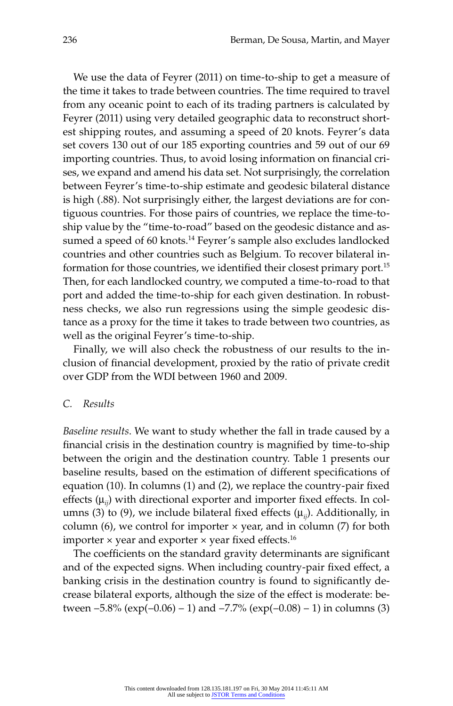We use the data of Feyrer (2011) on time-to-ship to get a measure of the time it takes to trade between countries. The time required to travel from any oceanic point to each of its trading partners is calculated by Feyrer (2011) using very detailed geographic data to reconstruct shortest shipping routes, and assuming a speed of 20 knots. Feyrer's data set covers 130 out of our 185 exporting countries and 59 out of our 69 importing countries. Thus, to avoid losing information on financial crises, we expand and amend his data set. Not surprisingly, the correlation between Feyrer's time-to-ship estimate and geodesic bilateral distance is high (.88). Not surprisingly either, the largest deviations are for contiguous countries. For those pairs of countries, we replace the time-toship value by the "time-to-road" based on the geodesic distance and assumed a speed of 60 knots.<sup>14</sup> Feyrer's sample also excludes landlocked countries and other countries such as Belgium. To recover bilateral information for those countries, we identified their closest primary port.<sup>15</sup> Then, for each landlocked country, we computed a time-to-road to that port and added the time-to-ship for each given destination. In robustness checks, we also run regressions using the simple geodesic distance as a proxy for the time it takes to trade between two countries, as well as the original Feyrer's time-to-ship.

Finally, we will also check the robustness of our results to the inclusion of financial development, proxied by the ratio of private credit over GDP from the WDI between 1960 and 2009.

#### *C. Results*

*Baseline results*. We want to study whether the fall in trade caused by a financial crisis in the destination country is magnified by time-to-ship between the origin and the destination country. Table 1 presents our baseline results, based on the estimation of different specifications of equation (10). In columns (1) and (2), we replace the country-pair fixed effects  $(\mu_{ii})$  with directional exporter and importer fixed effects. In columns (3) to (9), we include bilateral fixed effects  $(\mu_{ii})$ . Additionally, in column (6), we control for importer  $\times$  year, and in column (7) for both importer  $\times$  year and exporter  $\times$  year fixed effects.<sup>16</sup>

The coefficients on the standard gravity determinants are significant and of the expected signs. When including country-pair fixed effect, a banking crisis in the destination country is found to significantly decrease bilateral exports, although the size of the effect is moderate: between  $-5.8\%$  (exp( $-0.06$ ) – 1) and  $-7.7\%$  (exp( $-0.08$ ) – 1) in columns (3)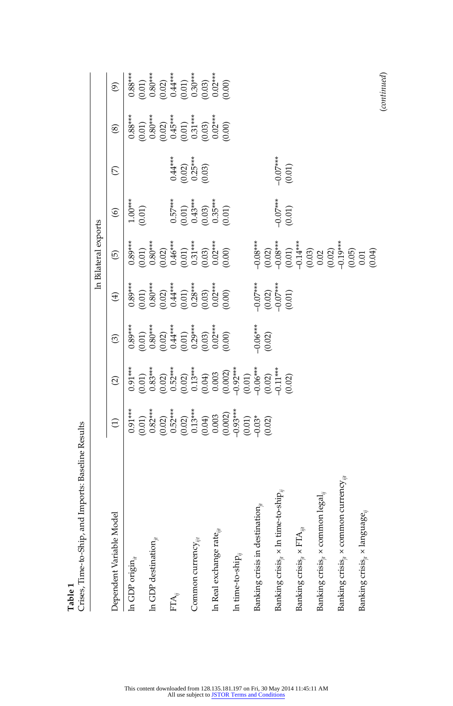|                                                                                          |                                                                                                                                                                      |                                                                                                                                                                                                        |                                                                                                                                                                                                                                                                                                                |                                                                                                                                                                                                                                                                                                                  | In Bilateral exports                                                                                                                                                                |                                                            |                                                |                                                                                                                                                                                                                                                                                                                  |                                                                                                                                                                                                                                                                                                                  |
|------------------------------------------------------------------------------------------|----------------------------------------------------------------------------------------------------------------------------------------------------------------------|--------------------------------------------------------------------------------------------------------------------------------------------------------------------------------------------------------|----------------------------------------------------------------------------------------------------------------------------------------------------------------------------------------------------------------------------------------------------------------------------------------------------------------|------------------------------------------------------------------------------------------------------------------------------------------------------------------------------------------------------------------------------------------------------------------------------------------------------------------|-------------------------------------------------------------------------------------------------------------------------------------------------------------------------------------|------------------------------------------------------------|------------------------------------------------|------------------------------------------------------------------------------------------------------------------------------------------------------------------------------------------------------------------------------------------------------------------------------------------------------------------|------------------------------------------------------------------------------------------------------------------------------------------------------------------------------------------------------------------------------------------------------------------------------------------------------------------|
| Dependent Variable Model                                                                 | $\ominus$                                                                                                                                                            | $\widehat{c}$                                                                                                                                                                                          | $\widehat{\odot}$                                                                                                                                                                                                                                                                                              | $\widehat{\mathfrak{X}}$                                                                                                                                                                                                                                                                                         | $\widehat{\Theta}$                                                                                                                                                                  | $\widehat{\mathbf{e}}$                                     | $\mathcal{L}$                                  | $\circledS$                                                                                                                                                                                                                                                                                                      | $\widehat{\mathcal{O}}$                                                                                                                                                                                                                                                                                          |
| In GDP origin $_{\it i}$                                                                 | $0.91***$                                                                                                                                                            | $0.91***$                                                                                                                                                                                              | $0.89***$                                                                                                                                                                                                                                                                                                      | $0.89***$                                                                                                                                                                                                                                                                                                        |                                                                                                                                                                                     | $1.00***$<br>(0.01)                                        |                                                | $0.88***$                                                                                                                                                                                                                                                                                                        | $0.88***$                                                                                                                                                                                                                                                                                                        |
| In GDP destination,                                                                      | $(0.01)$<br>$(0.02)$<br>$(0.03)$<br>$(0.04)$<br>$(0.05)$<br>$(0.05)$<br>$(0.05)$<br>$(0.05)$<br>$(0.05)$<br>$(0.05)$<br>$(0.05)$<br>$(0.05)$<br>$(0.05)$<br>$(0.05)$ | $(0.01)$ $(0.83**$ $(0.02)$ $(0.03)$ $(0.01)$ $(0.01)$ $(0.01)$ $(0.00)$ $(0.00)$ $(0.00)$ $(0.00)$ $(0.00)$ $(0.00)$ $(0.00)$ $(0.00)$ $(0.00)$ $(0.00)$ $(0.00)$ $(0.00)$ $(0.00)$ $(0.00)$ $(0.00)$ | $\begin{array}{l} (0.01)\\ 0.80^{***}\\ 0.62^{***}\\ 0.44^{***}\\ (0.01)\\ 0.29^{***}\\ (0.03)\\ (0.03)\\ (0.00)\\ (0.00)\\ (0.00)\\ (0.00)\\ (0.00)\\ (0.00)\\ (0.00)\\ (0.00)\\ (0.00)\\ (0.00)\\ (0.00)\\ (0.00)\\ (0.00)\\ (0.00)\\ (0.00)\\ (0.00)\\ (0.00)\\ (0.00)\\ (0.00)\\ (0.00)\\ (0.00)\\ (0.00)$ | $\begin{array}{c} (0.01)\\ 0.80^{***}\\ (0.02)\\ 0.44^{***}\\ (0.01)\\ (0.01)\\ (0.03^{***}\\ (0.02^{***}\\ (0.03)\\ (0.00)\\ (0.00)\\ (0.00)\\ (0.00)\\ (0.00)\\ (0.00)\\ (0.00)\\ (0.00)\\ (0.00)\\ (0.00)\\ (0.00)\\ (0.00)\\ (0.00)\\ (0.00)\\ (0.00)\\ (0.00)\\ (0.00)\\ (0.00)\\ (0.00)\\ (0.00)\\ (0.00)$ | $\begin{array}{l} 0.89^{***} \\ (0.01) \\ (0.80^{***} \\ (0.60^{***} \\ (0.61) \\ (0.01) \\ (0.01) \\ (0.03^{***} \\ (0.03) \\ (0.00) \\ (0.00) \\ (0.00) \\ (0.00) \\ \end{array}$ |                                                            |                                                | $\begin{array}{c} (0.01)\\ 0.80^{***}\\ (0.02)\\ 0.45^{***}\\ (0.01)\\ (0.01)\\ (0.02)\\ (0.03^{***}\\ (0.02^{***}\\ (0.00)\\ (0.00)\\ (0.00)\\ (0.00)\\ (0.00)\\ (0.00)\\ (0.00)\\ (0.00)\\ (0.00)\\ (0.00)\\ (0.00)\\ (0.00)\\ (0.00)\\ (0.00)\\ (0.00)\\ (0.00)\\ (0.00)\\ (0.00)\\ (0.00)\\ (0.00)\\ (0.00)$ | $\begin{array}{c} (0.01)\\ 0.80^{***}\\ (0.02)\\ 0.44^{***}\\ (0.01)\\ (0.01)\\ (0.03^{***}\\ (0.02^{***}\\ (0.03)\\ (0.00)\\ (0.00)\\ (0.00)\\ (0.00)\\ (0.00)\\ (0.00)\\ (0.00)\\ (0.00)\\ (0.00)\\ (0.00)\\ (0.00)\\ (0.00)\\ (0.00)\\ (0.00)\\ (0.00)\\ (0.00)\\ (0.00)\\ (0.00)\\ (0.00)\\ (0.00)\\ (0.00)$ |
|                                                                                          |                                                                                                                                                                      |                                                                                                                                                                                                        |                                                                                                                                                                                                                                                                                                                |                                                                                                                                                                                                                                                                                                                  |                                                                                                                                                                                     |                                                            |                                                |                                                                                                                                                                                                                                                                                                                  |                                                                                                                                                                                                                                                                                                                  |
| $\mathrm{FTA}_{ii}$                                                                      |                                                                                                                                                                      |                                                                                                                                                                                                        |                                                                                                                                                                                                                                                                                                                |                                                                                                                                                                                                                                                                                                                  |                                                                                                                                                                                     | $0.57***$                                                  |                                                |                                                                                                                                                                                                                                                                                                                  |                                                                                                                                                                                                                                                                                                                  |
| Common currency $_{\mathcal{W}}$                                                         |                                                                                                                                                                      |                                                                                                                                                                                                        |                                                                                                                                                                                                                                                                                                                |                                                                                                                                                                                                                                                                                                                  |                                                                                                                                                                                     | $(0.01)$<br>$0.43***$<br>$(0.03)$<br>$0.35***$<br>$(0.01)$ | $0.44***$<br>$(0.02)$<br>$0.25***$<br>$(0.03)$ |                                                                                                                                                                                                                                                                                                                  |                                                                                                                                                                                                                                                                                                                  |
|                                                                                          |                                                                                                                                                                      |                                                                                                                                                                                                        |                                                                                                                                                                                                                                                                                                                |                                                                                                                                                                                                                                                                                                                  |                                                                                                                                                                                     |                                                            |                                                |                                                                                                                                                                                                                                                                                                                  |                                                                                                                                                                                                                                                                                                                  |
| In Real exchange rate $_{i\mu}$                                                          |                                                                                                                                                                      |                                                                                                                                                                                                        |                                                                                                                                                                                                                                                                                                                |                                                                                                                                                                                                                                                                                                                  |                                                                                                                                                                                     |                                                            |                                                |                                                                                                                                                                                                                                                                                                                  |                                                                                                                                                                                                                                                                                                                  |
| In time-to-ship $_{ii}$                                                                  |                                                                                                                                                                      |                                                                                                                                                                                                        |                                                                                                                                                                                                                                                                                                                |                                                                                                                                                                                                                                                                                                                  |                                                                                                                                                                                     |                                                            |                                                |                                                                                                                                                                                                                                                                                                                  |                                                                                                                                                                                                                                                                                                                  |
|                                                                                          |                                                                                                                                                                      |                                                                                                                                                                                                        |                                                                                                                                                                                                                                                                                                                |                                                                                                                                                                                                                                                                                                                  |                                                                                                                                                                                     |                                                            |                                                |                                                                                                                                                                                                                                                                                                                  |                                                                                                                                                                                                                                                                                                                  |
| Banking crisis in destination $_{\scriptscriptstyle\#}$                                  |                                                                                                                                                                      |                                                                                                                                                                                                        | $-0.06***$                                                                                                                                                                                                                                                                                                     | $-0.07***$<br>$(0.02)$<br>$-0.07***$                                                                                                                                                                                                                                                                             |                                                                                                                                                                                     |                                                            |                                                |                                                                                                                                                                                                                                                                                                                  |                                                                                                                                                                                                                                                                                                                  |
|                                                                                          |                                                                                                                                                                      |                                                                                                                                                                                                        | (0.02)                                                                                                                                                                                                                                                                                                         |                                                                                                                                                                                                                                                                                                                  |                                                                                                                                                                                     |                                                            |                                                |                                                                                                                                                                                                                                                                                                                  |                                                                                                                                                                                                                                                                                                                  |
| Banking crisis $_{i}$ x $\ln$ time-to-ship,                                              |                                                                                                                                                                      |                                                                                                                                                                                                        |                                                                                                                                                                                                                                                                                                                |                                                                                                                                                                                                                                                                                                                  |                                                                                                                                                                                     | $-0.07***$                                                 | $-0.07***$                                     |                                                                                                                                                                                                                                                                                                                  |                                                                                                                                                                                                                                                                                                                  |
| Banking crisis $_{ji} \times$ FTA $_{iji}$                                               |                                                                                                                                                                      | (0.02)                                                                                                                                                                                                 |                                                                                                                                                                                                                                                                                                                | (0.01)                                                                                                                                                                                                                                                                                                           |                                                                                                                                                                                     | (0.01)                                                     | (0.01)                                         |                                                                                                                                                                                                                                                                                                                  |                                                                                                                                                                                                                                                                                                                  |
|                                                                                          |                                                                                                                                                                      |                                                                                                                                                                                                        |                                                                                                                                                                                                                                                                                                                |                                                                                                                                                                                                                                                                                                                  |                                                                                                                                                                                     |                                                            |                                                |                                                                                                                                                                                                                                                                                                                  |                                                                                                                                                                                                                                                                                                                  |
| Banking crisis $_{\scriptscriptstyle{H}} \times$ common legal $_{\scriptscriptstyle{H}}$ |                                                                                                                                                                      |                                                                                                                                                                                                        |                                                                                                                                                                                                                                                                                                                |                                                                                                                                                                                                                                                                                                                  |                                                                                                                                                                                     |                                                            |                                                |                                                                                                                                                                                                                                                                                                                  |                                                                                                                                                                                                                                                                                                                  |
| Banking crisis $_{i\!i}$ x common currency $_{i\!i}$                                     |                                                                                                                                                                      |                                                                                                                                                                                                        |                                                                                                                                                                                                                                                                                                                |                                                                                                                                                                                                                                                                                                                  |                                                                                                                                                                                     |                                                            |                                                |                                                                                                                                                                                                                                                                                                                  |                                                                                                                                                                                                                                                                                                                  |
| Banking crisis $_{\scriptscriptstyle \#}$ x language $_{\scriptscriptstyle \parallel}$   |                                                                                                                                                                      |                                                                                                                                                                                                        |                                                                                                                                                                                                                                                                                                                |                                                                                                                                                                                                                                                                                                                  |                                                                                                                                                                                     |                                                            |                                                |                                                                                                                                                                                                                                                                                                                  |                                                                                                                                                                                                                                                                                                                  |
|                                                                                          |                                                                                                                                                                      |                                                                                                                                                                                                        |                                                                                                                                                                                                                                                                                                                |                                                                                                                                                                                                                                                                                                                  |                                                                                                                                                                                     |                                                            |                                                |                                                                                                                                                                                                                                                                                                                  | (continued)                                                                                                                                                                                                                                                                                                      |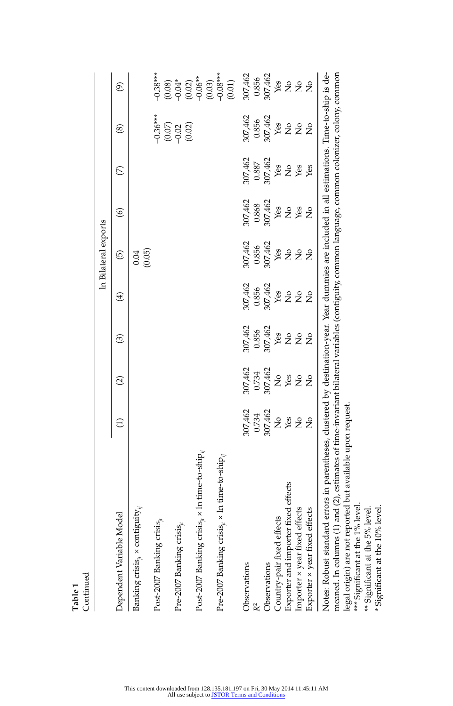|                                                                                                                                                                                                                                                                                                                                                                    |                              |                                |                   |                                | In Bilateral exports     |                         |                |                |                                  |
|--------------------------------------------------------------------------------------------------------------------------------------------------------------------------------------------------------------------------------------------------------------------------------------------------------------------------------------------------------------------|------------------------------|--------------------------------|-------------------|--------------------------------|--------------------------|-------------------------|----------------|----------------|----------------------------------|
| Dependent Variable Model                                                                                                                                                                                                                                                                                                                                           | $\widehat{\Xi}$              | $\widehat{\infty}$             | $\widehat{\circ}$ | $\bigoplus$                    | $\widehat{\mathfrak{G}}$ | $\widehat{\circ}$       | $\mathfrak{S}$ | ම              | $\widehat{\mathcal{E}}$          |
| Banking crisis $_{i}$ x contiguity $_{i}$                                                                                                                                                                                                                                                                                                                          |                              |                                |                   |                                | (0.05)<br>0.04           |                         |                |                |                                  |
| Post-2007 Banking crisis $_{it}$                                                                                                                                                                                                                                                                                                                                   |                              |                                |                   |                                |                          |                         |                | $-0.36***$     | $-0.38***$                       |
| Pre-2007 Banking crisis $_{it}$                                                                                                                                                                                                                                                                                                                                    |                              |                                |                   |                                |                          |                         |                | (0.07)         | $-0.04*$<br>(0.08)               |
|                                                                                                                                                                                                                                                                                                                                                                    |                              |                                |                   |                                |                          |                         |                | (0.02)         | $(0.02)$<br>$-0.06**$            |
| Post-2007 Banking crisis $_{ji}$ × $\ln$ time-to-ship $_{ji}$                                                                                                                                                                                                                                                                                                      |                              |                                |                   |                                |                          |                         |                |                |                                  |
| Pre-2007 Banking crisis $_{ii}$ × ln time-to-ship $_{ij}$                                                                                                                                                                                                                                                                                                          |                              |                                |                   |                                |                          |                         |                |                | $(0.03)$<br>$-0.08***$<br>(0.01) |
| Observations                                                                                                                                                                                                                                                                                                                                                       | 307,462                      | 307,462                        | 307,462           | 307,462                        | 307,462                  | 307,462                 | 307,462        | 307,462        | 307,462                          |
| R <sup>2</sup>                                                                                                                                                                                                                                                                                                                                                     | 0.734                        | 0.734                          | 0.856             | 0.856                          | 0.856                    | 0.868                   | 0.887          | 0.856          | 0.856                            |
| Observations                                                                                                                                                                                                                                                                                                                                                       | 307,462                      | 307,462                        | 307,462           | 307,462                        | 307,462                  | 307,462                 | 307,462        | 307,462        | 307,462                          |
| Country-pair fixed effects                                                                                                                                                                                                                                                                                                                                         | $\frac{1}{2}$                | $\frac{1}{2}$                  | Yes               | Yes                            | Yes                      | Yes                     | Yes            | Yes            | Yes                              |
| Exporter and importer fixed effects                                                                                                                                                                                                                                                                                                                                | $\frac{\text{ve}}{\text{C}}$ | Yes                            | 2g                | $\mathop{\mathsf{S}}\nolimits$ | 2 <sup>o</sup>           | <b>S</b><br>Ses         |                | 2 <sup>o</sup> | 2g                               |
| Importer x year fixed effects                                                                                                                                                                                                                                                                                                                                      |                              | $\stackrel{\circ}{\mathbf{Z}}$ |                   | $\overline{R}$                 |                          |                         | 2 se           |                |                                  |
| Exporter x year fixed effects                                                                                                                                                                                                                                                                                                                                      |                              | $\frac{1}{2}$                  | $\frac{1}{2}$     | $\frac{1}{2}$                  |                          | $\overline{\mathsf{S}}$ | Yes            |                | $\frac{1}{2}$                    |
| Notes: Robust standard errors in parentheses, clustered by destination-year. Year dummies are included in all estimations. Time-to-ship is de-<br>meaned. In columns (1) and (2), estimates of time-invariant bilateral variables (contiguity, common language, common colonizer, colony, common<br>legal origin) are not reported but available upon request.<br> |                              |                                |                   |                                |                          |                         |                |                |                                  |

\*\*\* Significant at the 1% level.<br>\*\* Significant at the 5% level.<br>\* Significant at the 10% level. \*\*\* Significant at the 1% level.

 $**$  Significant at the 5% level.  $*$  Significant at the 10% level.

**Table 1**  Continued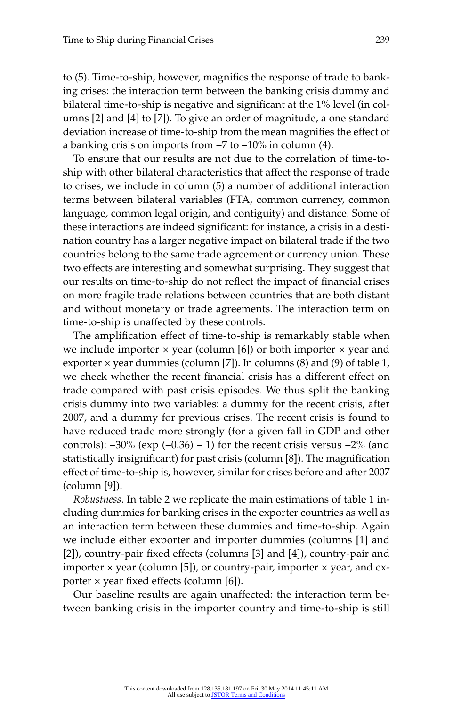to (5). Time-to-ship, however, magnifies the response of trade to banking crises: the interaction term between the banking crisis dummy and bilateral time-to-ship is negative and significant at the 1% level (in columns [2] and [4] to [7]). To give an order of magnitude, a one standard deviation increase of time-to-ship from the mean magnifies the effect of a banking crisis on imports from  $-7$  to  $-10\%$  in column (4).

To ensure that our results are not due to the correlation of time- toship with other bilateral characteristics that affect the response of trade to crises, we include in column (5) a number of additional interaction terms between bilateral variables (FTA, common currency, common language, common legal origin, and contiguity) and distance. Some of these interactions are indeed significant: for instance, a crisis in a destination country has a larger negative impact on bilateral trade if the two countries belong to the same trade agreement or currency union. These two effects are interesting and somewhat surprising. They suggest that our results on time-to-ship do not reflect the impact of financial crises on more fragile trade relations between countries that are both distant and without monetary or trade agreements. The interaction term on time-to-ship is unaffected by these controls.

The amplification effect of time-to-ship is remarkably stable when we include importer  $\times$  year (column [6]) or both importer  $\times$  year and exporter  $\times$  year dummies (column [7]). In columns (8) and (9) of table 1, we check whether the recent financial crisis has a different effect on trade compared with past crisis episodes. We thus split the banking crisis dummy into two variables: a dummy for the recent crisis, after 2007, and a dummy for previous crises. The recent crisis is found to have reduced trade more strongly (for a given fall in GDP and other controls):  $-30\%$  (exp (-0.36) – 1) for the recent crisis versus  $-2\%$  (and statistically insignificant) for past crisis (column [8]). The magnification effect of time-to-ship is, however, similar for crises before and after 2007 (column [9]).

*Robustness*. In table 2 we replicate the main estimations of table 1 including dummies for banking crises in the exporter countries as well as an interaction term between these dummies and time-to-ship. Again we include either exporter and importer dummies (columns [1] and [2]), country-pair fixed effects (columns [3] and [4]), country-pair and importer  $\times$  year (column [5]), or country-pair, importer  $\times$  year, and exporter  $\times$  year fixed effects (column [6]).

Our baseline results are again unaffected: the interaction term between banking crisis in the importer country and time-to-ship is still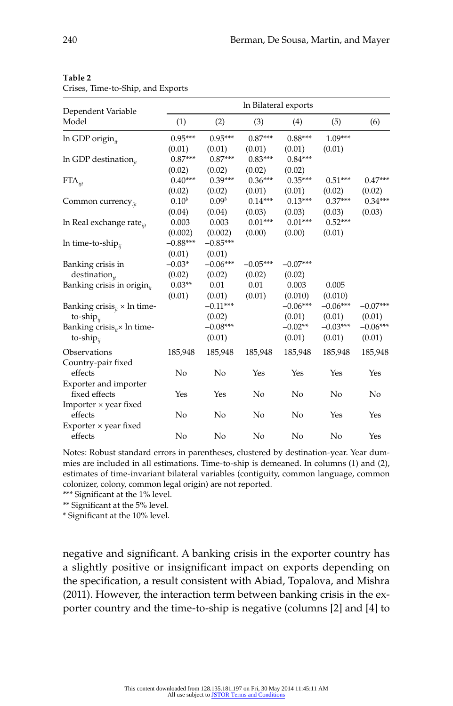| ۰,<br>.<br>٠<br>۰,<br>٠<br>- -<br>×<br>--<br>٠ |
|------------------------------------------------|
|------------------------------------------------|

Crises, Time-to-Ship, and Exports

| Dependent Variable                             |            |                   |            | In Bilateral exports |            |            |
|------------------------------------------------|------------|-------------------|------------|----------------------|------------|------------|
| Model                                          | (1)        | (2)               | (3)        | (4)                  | (5)        | (6)        |
| $ln$ GDP origin <sub>#</sub>                   | $0.95***$  | $0.95***$         | $0.87***$  | $0.88***$            | $1.09***$  |            |
|                                                | (0.01)     | (0.01)            | (0.01)     | (0.01)               | (0.01)     |            |
| In GDP destination $_{it}$                     | $0.87***$  | $0.87***$         | $0.83***$  | $0.84***$            |            |            |
|                                                | (0.02)     | (0.02)            | (0.02)     | (0.02)               |            |            |
| $FTA_{ijt}$                                    | $0.40***$  | $0.39***$         | $0.36***$  | $0.35***$            | $0.51***$  | $0.47***$  |
|                                                | (0.02)     | (0.02)            | (0.01)     | (0.01)               | (0.02)     | (0.02)     |
| Common currency $_{ii}$                        | $0.10^{b}$ | 0.09 <sup>b</sup> | $0.14***$  | $0.13***$            | $0.37***$  | $0.34***$  |
|                                                | (0.04)     | (0.04)            | (0.03)     | (0.03)               | (0.03)     | (0.03)     |
| ln Real exchange rate <sub>iit</sub>           | 0.003      | 0.003             | $0.01***$  | $0.01***$            | $0.52***$  |            |
|                                                | (0.002)    | (0.002)           | (0.00)     | (0.00)               | (0.01)     |            |
| In time-to-ship <sub>ii</sub>                  | $-0.88***$ | $-0.85***$        |            |                      |            |            |
|                                                | (0.01)     | (0.01)            |            |                      |            |            |
| Banking crisis in                              | $-0.03*$   | $-0.06***$        | $-0.05***$ | $-0.07***$           |            |            |
| $\text{destination}_{it}$                      | (0.02)     | (0.02)            | (0.02)     | (0.02)               |            |            |
| Banking crisis in origin <sub>ii</sub>         | $0.03**$   | 0.01              | 0.01       | 0.003                | 0.005      |            |
|                                                | (0.01)     | (0.01)            | (0.01)     | (0.010)              | (0.010)    |            |
| Banking crisis <sub>it</sub> $\times$ ln time- |            | $-0.11***$        |            | $-0.06***$           | $-0.06***$ | $-0.07***$ |
| to-ship $_{ii}$                                |            | (0.02)            |            | (0.01)               | (0.01)     | (0.01)     |
| Banking crisis <sub>it</sub> $\times$ ln time- |            | $-0.08***$        |            | $-0.02**$            | $-0.03***$ | $-0.06***$ |
| to-ship $_{ii}$                                |            | (0.01)            |            | (0.01)               | (0.01)     | (0.01)     |
| Observations                                   | 185,948    | 185,948           | 185,948    | 185,948              | 185,948    | 185,948    |
| Country-pair fixed                             |            |                   |            |                      |            |            |
| effects                                        | No         | No                | Yes        | Yes                  | Yes        | Yes        |
| Exporter and importer                          |            |                   |            |                      |            |            |
| fixed effects                                  | Yes        | Yes               | No         | No                   | No         | No         |
| Importer × year fixed                          |            |                   |            |                      |            |            |
| effects                                        | No         | No                | No         | No                   | Yes        | Yes        |
| Exporter $\times$ year fixed                   |            |                   |            |                      |            |            |
| effects                                        | No         | No                | No         | No                   | No         | Yes        |

Notes: Robust standard errors in parentheses, clustered by destination- year. Year dummies are included in all estimations. Time-to-ship is demeaned. In columns (1) and (2), estimates of time- invariant bilateral variables (contiguity, common language, common colonizer, colony, common legal origin) are not reported.

\*\*\* Significant at the 1% level.

\*\* Significant at the 5% level.

\* Significant at the 10% level.

negative and significant. A banking crisis in the exporter country has a slightly positive or insignificant impact on exports depending on the specification, a result consistent with Abiad, Topalova, and Mishra (2011). However, the interaction term between banking crisis in the exporter country and the time-to-ship is negative (columns [2] and [4] to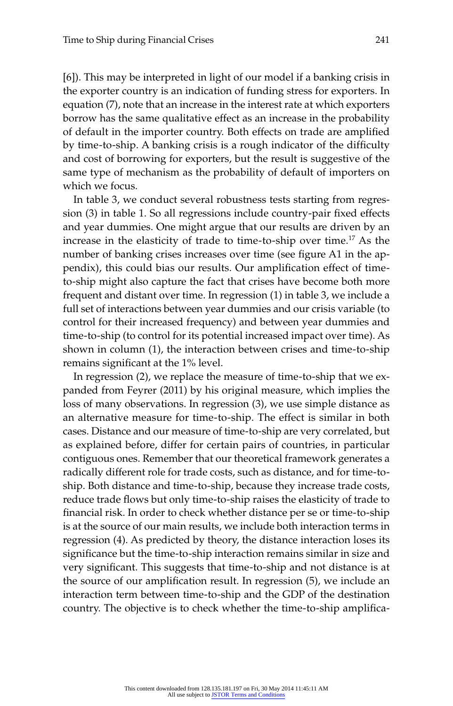[6]). This may be interpreted in light of our model if a banking crisis in the exporter country is an indication of funding stress for exporters. In equation (7), note that an increase in the interest rate at which exporters borrow has the same qualitative effect as an increase in the probability of default in the importer country. Both effects on trade are amplified by time-to-ship. A banking crisis is a rough indicator of the difficulty and cost of borrowing for exporters, but the result is suggestive of the same type of mechanism as the probability of default of importers on which we focus.

In table 3, we conduct several robustness tests starting from regression (3) in table 1. So all regressions include country-pair fixed effects and year dummies. One might argue that our results are driven by an increase in the elasticity of trade to time-to-ship over time.<sup>17</sup> As the number of banking crises increases over time (see figure A1 in the appendix), this could bias our results. Our amplification effect of timeto- ship might also capture the fact that crises have become both more frequent and distant over time. In regression (1) in table 3, we include a full set of interactions between year dummies and our crisis variable (to control for their increased frequency) and between year dummies and time-to-ship (to control for its potential increased impact over time). As shown in column (1), the interaction between crises and time-to-ship remains significant at the 1% level.

In regression (2), we replace the measure of time-to-ship that we expanded from Feyrer (2011) by his original measure, which implies the loss of many observations. In regression (3), we use simple distance as an alternative measure for time-to-ship. The effect is similar in both cases. Distance and our measure of time-to-ship are very correlated, but as explained before, differ for certain pairs of countries, in particular contiguous ones. Remember that our theoretical framework generates a radically different role for trade costs, such as distance, and for time-toship. Both distance and time-to-ship, because they increase trade costs, reduce trade flows but only time-to-ship raises the elasticity of trade to financial risk. In order to check whether distance per se or time-to-ship is at the source of our main results, we include both interaction terms in regression (4). As predicted by theory, the distance interaction loses its significance but the time-to-ship interaction remains similar in size and very significant. This suggests that time-to-ship and not distance is at the source of our amplification result. In regression  $(5)$ , we include an interaction term between time-to-ship and the GDP of the destination country. The objective is to check whether the time-to-ship amplifica-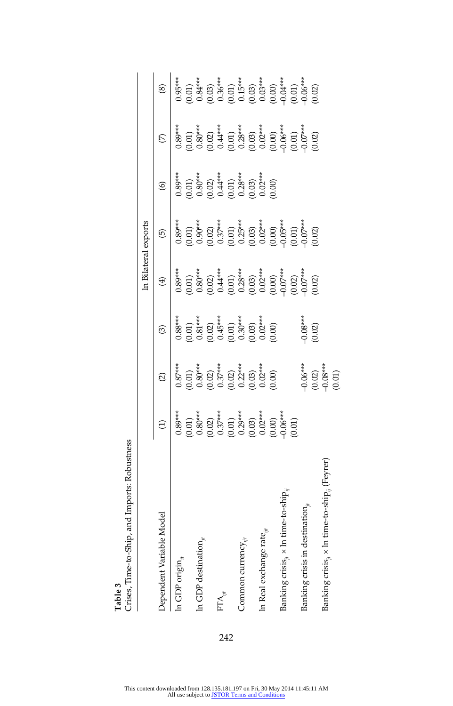| l able 3                                          |                                                                                                                                                                                                                                                                                                                      |                                                                                                                                                                                                                                                                                                                   |                                                                                                                                                                 |             |                                                                                                                                                                                                                                                                                                                 |                                                                                                                                                                                                |                                                                                                                                                                                                                                                                                    |         |
|---------------------------------------------------|----------------------------------------------------------------------------------------------------------------------------------------------------------------------------------------------------------------------------------------------------------------------------------------------------------------------|-------------------------------------------------------------------------------------------------------------------------------------------------------------------------------------------------------------------------------------------------------------------------------------------------------------------|-----------------------------------------------------------------------------------------------------------------------------------------------------------------|-------------|-----------------------------------------------------------------------------------------------------------------------------------------------------------------------------------------------------------------------------------------------------------------------------------------------------------------|------------------------------------------------------------------------------------------------------------------------------------------------------------------------------------------------|------------------------------------------------------------------------------------------------------------------------------------------------------------------------------------------------------------------------------------------------------------------------------------|---------|
| , and Imports: Robustness<br>Crises, Time-to-Ship |                                                                                                                                                                                                                                                                                                                      |                                                                                                                                                                                                                                                                                                                   |                                                                                                                                                                 |             |                                                                                                                                                                                                                                                                                                                 |                                                                                                                                                                                                |                                                                                                                                                                                                                                                                                    |         |
|                                                   |                                                                                                                                                                                                                                                                                                                      |                                                                                                                                                                                                                                                                                                                   |                                                                                                                                                                 |             | In Bilateral exports                                                                                                                                                                                                                                                                                            |                                                                                                                                                                                                |                                                                                                                                                                                                                                                                                    |         |
| Model<br>Dependent Variable                       |                                                                                                                                                                                                                                                                                                                      | $\widehat{\alpha}$                                                                                                                                                                                                                                                                                                | $\widehat{\mathcal{C}}$                                                                                                                                         | $\bigoplus$ | $\widehat{\mathfrak{G}}$                                                                                                                                                                                                                                                                                        | $\circledcirc$                                                                                                                                                                                 | C)                                                                                                                                                                                                                                                                                 | $\circ$ |
| In GDP origin $_{it}$                             |                                                                                                                                                                                                                                                                                                                      |                                                                                                                                                                                                                                                                                                                   |                                                                                                                                                                 |             |                                                                                                                                                                                                                                                                                                                 |                                                                                                                                                                                                |                                                                                                                                                                                                                                                                                    |         |
|                                                   |                                                                                                                                                                                                                                                                                                                      | $\begin{array}{l} 0.87^{***} \\[-2.0ex] 0.01) \\[-2.0ex] 0.80^{***} \\[-2.0ex] 0.02) \\[-2.0ex] 0.02 \\[-2.0ex] 0.02 \\[-2.0ex] 0.03 \\[-2.0ex] 0.03 \\[-2.0ex] 0.00 \\[-2.0ex] 0.00 \\[-2.0ex] 0.00 \\[-2.0ex] 0.00 \\[-2.0ex] 0.00 \\[-2.0ex] 0.00 \\[-2.0ex] 0.00 \\[-2.0ex] 0.00 \\[-2.0ex] 0.00 \\[-2.0ex] $ | $\begin{array}{c} 0.88***\\ 0.01)\\ 0.01\\ 0.81***\\ 0.02)\\ (0.01)\\ (0.01)\\ (0.01)\\ (0.00)\\ (0.002)\\ (0.000)\\ (0.000)\\ (0.000)\\ (0.000)\\ \end{array}$ |             |                                                                                                                                                                                                                                                                                                                 | $\begin{array}{l} 0.89^{***} \\ 0.01) \\ 0.80^{***} \\ 0.60^{***} \\ 0.02) \\ 0.01 \\ 0.03^{***} \\ 0.01 \\ 0.01 \\ 0.03^{***} \\ 0.03 \\ 0.03 \\ 0.00 \\ 0.00 \\ 0.00 \\ 0.00 \\ \end{array}$ |                                                                                                                                                                                                                                                                                    |         |
| In GDP destination,                               |                                                                                                                                                                                                                                                                                                                      |                                                                                                                                                                                                                                                                                                                   |                                                                                                                                                                 |             |                                                                                                                                                                                                                                                                                                                 |                                                                                                                                                                                                |                                                                                                                                                                                                                                                                                    |         |
|                                                   |                                                                                                                                                                                                                                                                                                                      |                                                                                                                                                                                                                                                                                                                   |                                                                                                                                                                 |             |                                                                                                                                                                                                                                                                                                                 |                                                                                                                                                                                                |                                                                                                                                                                                                                                                                                    |         |
| $\text{FTA}_{\dot{m}}$                            |                                                                                                                                                                                                                                                                                                                      |                                                                                                                                                                                                                                                                                                                   |                                                                                                                                                                 |             |                                                                                                                                                                                                                                                                                                                 |                                                                                                                                                                                                |                                                                                                                                                                                                                                                                                    |         |
|                                                   |                                                                                                                                                                                                                                                                                                                      |                                                                                                                                                                                                                                                                                                                   |                                                                                                                                                                 |             |                                                                                                                                                                                                                                                                                                                 |                                                                                                                                                                                                |                                                                                                                                                                                                                                                                                    |         |
| Common currency $_{\tilde{\vec{m}}}$              |                                                                                                                                                                                                                                                                                                                      |                                                                                                                                                                                                                                                                                                                   |                                                                                                                                                                 |             |                                                                                                                                                                                                                                                                                                                 |                                                                                                                                                                                                |                                                                                                                                                                                                                                                                                    |         |
|                                                   |                                                                                                                                                                                                                                                                                                                      |                                                                                                                                                                                                                                                                                                                   |                                                                                                                                                                 |             |                                                                                                                                                                                                                                                                                                                 |                                                                                                                                                                                                |                                                                                                                                                                                                                                                                                    |         |
| In Real exchange rat                              |                                                                                                                                                                                                                                                                                                                      |                                                                                                                                                                                                                                                                                                                   |                                                                                                                                                                 |             |                                                                                                                                                                                                                                                                                                                 |                                                                                                                                                                                                |                                                                                                                                                                                                                                                                                    |         |
|                                                   |                                                                                                                                                                                                                                                                                                                      |                                                                                                                                                                                                                                                                                                                   |                                                                                                                                                                 |             |                                                                                                                                                                                                                                                                                                                 |                                                                                                                                                                                                |                                                                                                                                                                                                                                                                                    |         |
| Banking crisis $_{n}\times$ In                    |                                                                                                                                                                                                                                                                                                                      |                                                                                                                                                                                                                                                                                                                   |                                                                                                                                                                 |             |                                                                                                                                                                                                                                                                                                                 |                                                                                                                                                                                                |                                                                                                                                                                                                                                                                                    |         |
|                                                   | $\begin{array}{l} 0.89^{***} \\ 0.01 \\ 0.80^{***} \\ 0.80^{***} \\ 0.01 \\ 0.01 \\ 0.01 \\ 0.01 \\ 0.01 \\ 0.01 \\ 0.01 \\ 0.01 \\ 0.00 \\ 0.00 \\ 0.00 \\ 0.00 \\ 0.00 \\ 0.00 \\ 0.00 \\ 0.00 \\ 0.00 \\ 0.00 \\ 0.00 \\ 0.00 \\ 0.00 \\ 0.00 \\ 0.00 \\ 0.00 \\ 0.00 \\ 0.00 \\ 0.00 \\ 0.00 \\ 0.00 \\ 0.00 \\$ |                                                                                                                                                                                                                                                                                                                   |                                                                                                                                                                 |             |                                                                                                                                                                                                                                                                                                                 |                                                                                                                                                                                                |                                                                                                                                                                                                                                                                                    |         |
| Banking crisis in des                             |                                                                                                                                                                                                                                                                                                                      |                                                                                                                                                                                                                                                                                                                   |                                                                                                                                                                 |             |                                                                                                                                                                                                                                                                                                                 |                                                                                                                                                                                                |                                                                                                                                                                                                                                                                                    |         |
|                                                   |                                                                                                                                                                                                                                                                                                                      | $-0.06***$<br>(0.02)                                                                                                                                                                                                                                                                                              | $0.08***$<br>$(0.02)$                                                                                                                                           |             | $\begin{array}{c} 0.89^{**} \\ 0.01) \\ 0.90^{**} \\ 0.02 \\ 0.02 \\ 0.037^{**} \\ 0.03 \\ 0.03 \\ 0.03 \\ 0.03 \\ 0.03 \\ 0.03 \\ 0.03 \\ 0.03 \\ 0.03 \\ 0.03 \\ 0.03 \\ 0.03 \\ 0.03 \\ 0.03 \\ 0.03 \\ 0.03 \\ 0.03 \\ 0.03 \\ 0.03 \\ 0.03 \\ 0.03 \\ 0.03 \\ 0.03 \\ 0.03 \\ 0.03 \\ 0.03 \\ 0.03 \\ 0.0$ |                                                                                                                                                                                                | $\begin{array}{l} \begin{array}{l} 3.89^{*3}\\ 0.0101\\ 0.80^{*4}\\ 0.020\\ 0.014^{*3}\\ 0.002\\ 0.003\\ 0.0000\\ 0.0000\\ 0.0000\\ 0.0000\\ 0.0000\\ 0.0000\\ 0.0000\\ 0.0000\\ 0.0000\\ 0.000\\ 0.000\\ 0.000\\ 0.000\\ 0.000\\ 0.000\\ 0.000\\ 0.000\\ 0.000\\ 0.000\\ 0.000\\$ |         |

 $-0.06***$ <br>(0.02)<br> $-0.08***$ <br>(0.01)

Banking crisis*jt* × ln time- to- ship*ij* (Feyrer) –0.08\*\*\*

Banking crisis $_{ji}$  x ln time-to-ship $_{ij}$  (Feyrer)

**Table 3** 

242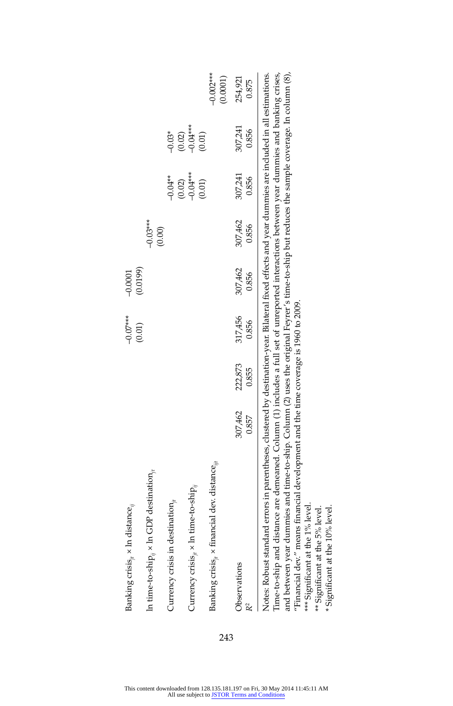| Banking crisis, x In distance,                                                                                                                                                                                                                                                                                                                                                                                                                                                                                                               |                  |                 | $-0.07***$       | $-0.0001$        |                  |                                    |                        |                         |
|----------------------------------------------------------------------------------------------------------------------------------------------------------------------------------------------------------------------------------------------------------------------------------------------------------------------------------------------------------------------------------------------------------------------------------------------------------------------------------------------------------------------------------------------|------------------|-----------------|------------------|------------------|------------------|------------------------------------|------------------------|-------------------------|
| In time-to-ship, $\times$ In GDP destination,                                                                                                                                                                                                                                                                                                                                                                                                                                                                                                |                  |                 | (0.01)           | (0.0199)         | $-0.03***$       |                                    |                        |                         |
| Currency crisis in destination,                                                                                                                                                                                                                                                                                                                                                                                                                                                                                                              |                  |                 |                  |                  | (0.00)           | $0.04**$                           | $-0.03*$               |                         |
| Currency crisis, $\times$ In time-to-ship,                                                                                                                                                                                                                                                                                                                                                                                                                                                                                                   |                  |                 |                  |                  |                  | $(0.02)$<br>$-0.04***$<br>$(0.01)$ | $(0.02)$<br>$-0.04***$ |                         |
| Banking crisis <sub>ie</sub> x financial dev. distance <sub>iie</sub>                                                                                                                                                                                                                                                                                                                                                                                                                                                                        |                  |                 |                  |                  |                  |                                    | (0.01)                 | $-0.002***$<br>(0.0001) |
| Observations                                                                                                                                                                                                                                                                                                                                                                                                                                                                                                                                 | 307,462<br>0.857 | 22,873<br>0.855 | 317,456<br>0.856 | 307,462<br>0.856 | 307,462<br>0.856 | 307,241<br>0.856                   | 307,241<br>0.856       | 254,921<br>0.875        |
| and between year dummies and time-to-ship. Column (2) uses the original Feyrer's time-to-ship but reduces the sample coverage. In column (8),<br>Time-to-ship and distance are demeaned. Column (1) includes a full set of unreported interactions between year dummies and banking crises,<br>Notes: Robust standard errors in parentheses, clustered by destination-year. Bilateral fixed effects and year dummies are included in all estimations.<br>"Financial dev." means financial development and the time coverage is 1960 to 2009. |                  |                 |                  |                  |                  |                                    |                        |                         |

Ļ, \*\*\* Significant at the 1% level.<br>\*\* Significant at the 5% level.<br>\* Significant at the 10% level. \*\*\* Significant at the 1% level.

\*\* Signifi cant at the 5% level.

\* Signifi cant at the 10% level.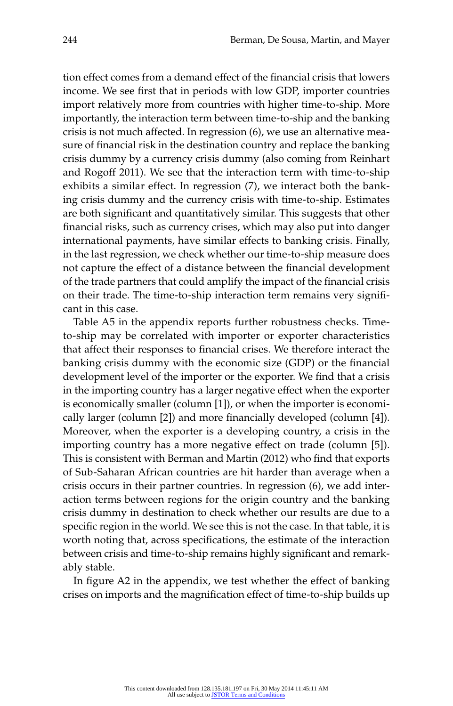tion effect comes from a demand effect of the financial crisis that lowers income. We see first that in periods with low GDP, importer countries import relatively more from countries with higher time-to-ship. More importantly, the interaction term between time-to-ship and the banking crisis is not much affected. In regression (6), we use an alternative measure of financial risk in the destination country and replace the banking crisis dummy by a currency crisis dummy (also coming from Reinhart and Rogoff 2011). We see that the interaction term with time-to-ship exhibits a similar effect. In regression (7), we interact both the banking crisis dummy and the currency crisis with time-to-ship. Estimates are both significant and quantitatively similar. This suggests that other financial risks, such as currency crises, which may also put into danger international payments, have similar effects to banking crisis. Finally, in the last regression, we check whether our time- to- ship measure does not capture the effect of a distance between the financial development of the trade partners that could amplify the impact of the financial crisis on their trade. The time-to-ship interaction term remains very significant in this case.

Table A5 in the appendix reports further robustness checks. Timeto- ship may be correlated with importer or exporter characteristics that affect their responses to financial crises. We therefore interact the banking crisis dummy with the economic size (GDP) or the financial development level of the importer or the exporter. We find that a crisis in the importing country has a larger negative effect when the exporter is economically smaller (column [1]), or when the importer is economically larger (column [2]) and more financially developed (column [4]). Moreover, when the exporter is a developing country, a crisis in the importing country has a more negative effect on trade (column [5]). This is consistent with Berman and Martin (2012) who find that exports of Sub- Saharan African countries are hit harder than average when a crisis occurs in their partner countries. In regression (6), we add interaction terms between regions for the origin country and the banking crisis dummy in destination to check whether our results are due to a specific region in the world. We see this is not the case. In that table, it is worth noting that, across specifications, the estimate of the interaction between crisis and time-to-ship remains highly significant and remarkably stable.

In figure A2 in the appendix, we test whether the effect of banking crises on imports and the magnification effect of time-to-ship builds up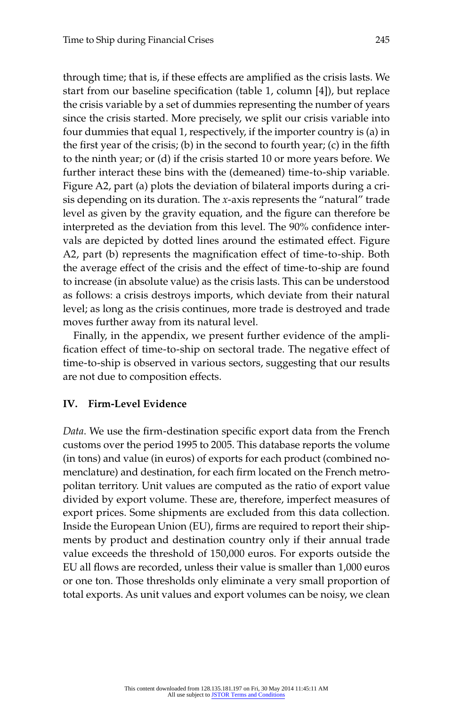through time; that is, if these effects are amplified as the crisis lasts. We start from our baseline specification (table 1, column [4]), but replace the crisis variable by a set of dummies representing the number of years since the crisis started. More precisely, we split our crisis variable into four dummies that equal 1, respectively, if the importer country is (a) in the first year of the crisis; (b) in the second to fourth year; (c) in the fifth to the ninth year; or (d) if the crisis started 10 or more years before. We further interact these bins with the (demeaned) time-to-ship variable. Figure A2, part (a) plots the deviation of bilateral imports during a crisis depending on its duration. The *x*- axis represents the "natural" trade level as given by the gravity equation, and the figure can therefore be interpreted as the deviation from this level. The 90% confidence intervals are depicted by dotted lines around the estimated effect. Figure A2, part (b) represents the magnification effect of time-to-ship. Both the average effect of the crisis and the effect of time-to-ship are found to increase (in absolute value) as the crisis lasts. This can be understood as follows: a crisis destroys imports, which deviate from their natural level; as long as the crisis continues, more trade is destroyed and trade moves further away from its natural level.

Finally, in the appendix, we present further evidence of the amplification effect of time-to-ship on sectoral trade. The negative effect of time-to-ship is observed in various sectors, suggesting that our results are not due to composition effects.

#### **IV. Firm- Level Evidence**

*Data*. We use the firm-destination specific export data from the French customs over the period 1995 to 2005. This database reports the volume (in tons) and value (in euros) of exports for each product (combined nomenclature) and destination, for each firm located on the French metropolitan territory. Unit values are computed as the ratio of export value divided by export volume. These are, therefore, imperfect measures of export prices. Some shipments are excluded from this data collection. Inside the European Union (EU), firms are required to report their shipments by product and destination country only if their annual trade value exceeds the threshold of 150,000 euros. For exports outside the EU all flows are recorded, unless their value is smaller than 1,000 euros or one ton. Those thresholds only eliminate a very small proportion of total exports. As unit values and export volumes can be noisy, we clean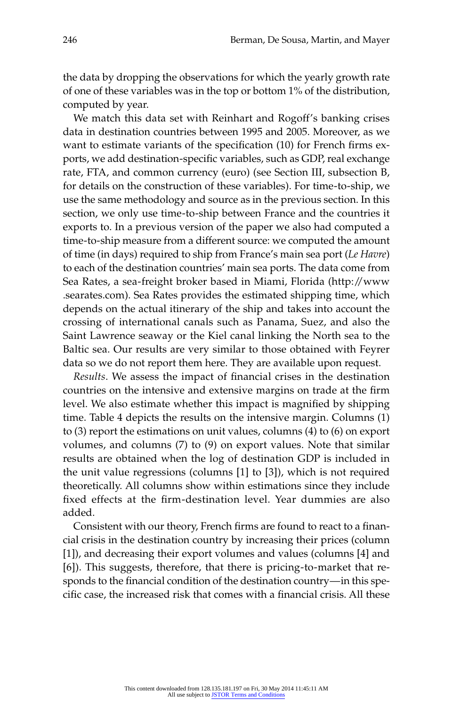the data by dropping the observations for which the yearly growth rate of one of these variables was in the top or bottom 1% of the distribution, computed by year.

We match this data set with Reinhart and Rogoff's banking crises data in destination countries between 1995 and 2005. Moreover, as we want to estimate variants of the specification (10) for French firms exports, we add destination-specific variables, such as GDP, real exchange rate, FTA, and common currency (euro) (see Section III, subsection B, for details on the construction of these variables). For time-to-ship, we use the same methodology and source as in the previous section. In this section, we only use time-to-ship between France and the countries it exports to. In a previous version of the paper we also had computed a time-to-ship measure from a different source: we computed the amount of time (in days) required to ship from France's main sea port (*Le Havre*) to each of the destination countries' main sea ports. The data come from Sea Rates, a sea- freight broker based in Miami, Florida (http://www .searates.com). Sea Rates provides the estimated shipping time, which depends on the actual itinerary of the ship and takes into account the crossing of international canals such as Panama, Suez, and also the Saint Lawrence seaway or the Kiel canal linking the North sea to the Baltic sea. Our results are very similar to those obtained with Feyrer data so we do not report them here. They are available upon request.

*Results*. We assess the impact of financial crises in the destination countries on the intensive and extensive margins on trade at the firm level. We also estimate whether this impact is magnified by shipping time. Table 4 depicts the results on the intensive margin. Columns (1) to (3) report the estimations on unit values, columns (4) to (6) on export volumes, and columns (7) to (9) on export values. Note that similar results are obtained when the log of destination GDP is included in the unit value regressions (columns [1] to [3]), which is not required theoretically. All columns show within estimations since they include fixed effects at the firm-destination level. Year dummies are also added.

Consistent with our theory, French firms are found to react to a financial crisis in the destination country by increasing their prices (column [1]), and decreasing their export volumes and values (columns [4] and [6]). This suggests, therefore, that there is pricing-to-market that responds to the financial condition of the destination country—in this specific case, the increased risk that comes with a financial crisis. All these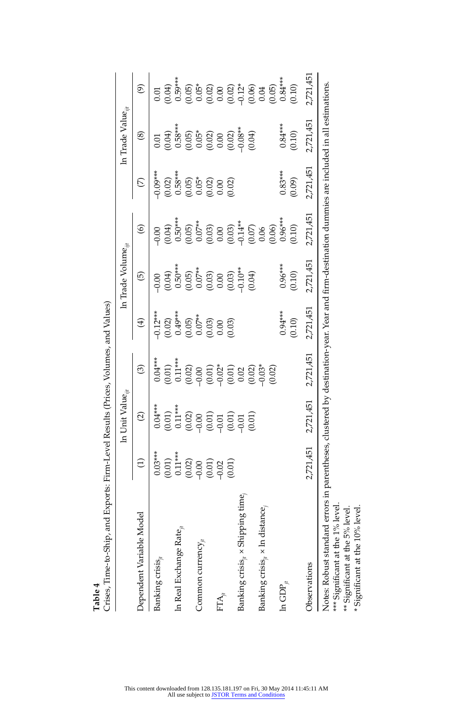| Crises, Time-to-Ship, and Exports: Firm-Level Results (Prices, Volumes, and Values)                                                                                                                                                                    |                                                  | In Unit Value <sub>iit</sub>     |                                                                                     |                                                     | In Trade Volume <sub>iit</sub> |                                                                       |                      | In Trade Value $_{ii}$           |                                                                                |
|--------------------------------------------------------------------------------------------------------------------------------------------------------------------------------------------------------------------------------------------------------|--------------------------------------------------|----------------------------------|-------------------------------------------------------------------------------------|-----------------------------------------------------|--------------------------------|-----------------------------------------------------------------------|----------------------|----------------------------------|--------------------------------------------------------------------------------|
| Dependent Variable Model                                                                                                                                                                                                                               | $\ominus$                                        | $\widehat{\mathcal{O}}$          | $\circledcirc$                                                                      | $\bigoplus$                                         | $\widehat{\Theta}$             | $\circledcirc$                                                        | E                    | $\circledast$                    | $\widehat{\mathfrak{G}}$                                                       |
| Banking crisis $_{it}$                                                                                                                                                                                                                                 | $0.03***$                                        | $0.04***$                        | $0.04***$                                                                           | $-0.12***$                                          | $-0.00$                        | $-0.00$                                                               | $-0.09***$           | 0.01                             | 0.01                                                                           |
|                                                                                                                                                                                                                                                        |                                                  |                                  |                                                                                     |                                                     |                                |                                                                       |                      |                                  |                                                                                |
| In Real Exchange Rate $_{i}$                                                                                                                                                                                                                           | $\begin{array}{c} (0.01) \\ 0.11*** \end{array}$ | $(0.01)$<br>0.11***              | $(0.01)$<br>$0.11***$                                                               | $(0.02)$<br>0.49***                                 | $(0.04)$<br>0.50***            | $(0.04)$<br>0.50***                                                   | $(0.02)$<br>0.58***  | $(0.04)$<br>0.58***              | $(0.04)$<br>0.59***                                                            |
|                                                                                                                                                                                                                                                        | (0.02)                                           |                                  |                                                                                     | $(0.05)$<br>0.07**                                  | (0.05)                         |                                                                       |                      |                                  |                                                                                |
| Common currency $_{it}$                                                                                                                                                                                                                                |                                                  |                                  | (0.02)                                                                              |                                                     | $0.07**$                       | $(0.05)$<br>0.07**                                                    | $(0.05)$<br>$0.05*$  |                                  |                                                                                |
|                                                                                                                                                                                                                                                        |                                                  | $(0.02)$<br>$(0.01)$<br>$(0.01)$ |                                                                                     |                                                     | (6.03)                         | $_{0.03}^{0.03}$                                                      |                      | $(0.65)$<br>$(0.62)$<br>$(0.60)$ |                                                                                |
| $\mathrm{FTA}_n$                                                                                                                                                                                                                                       | (0.01)                                           |                                  |                                                                                     |                                                     |                                |                                                                       |                      |                                  |                                                                                |
|                                                                                                                                                                                                                                                        | (0.01)                                           | (10.01)                          |                                                                                     | $\begin{array}{c} 0.03 \\ 0.00 \\ 0.03 \end{array}$ |                                |                                                                       | $(0.02)$<br>$(0.02)$ | $(0.02)$<br>$-0.08**$            |                                                                                |
| Banking crisis <sub>it</sub> x Shipping time,                                                                                                                                                                                                          |                                                  |                                  |                                                                                     |                                                     | $(0.03)$<br>$0.10**$           |                                                                       |                      |                                  |                                                                                |
|                                                                                                                                                                                                                                                        |                                                  | (0.01)                           | $\begin{array}{l} (0.01)\\ (0.01)\\ (0.01)\\ (0.02)\\ (0.02)\\ (0.03)^*\end{array}$ |                                                     | (40.0)                         | $\begin{array}{c} (0.03) \\ -0.14^{**} \\ (0.07) \\ 0.06 \end{array}$ |                      | (40.04)                          | $0.65$<br>$0.6200$<br>$0.6300$<br>$0.6300$<br>$0.6300$<br>$0.6300$<br>$0.6300$ |
| Banking crisis $_{ji}$ x ln distance,                                                                                                                                                                                                                  |                                                  |                                  |                                                                                     |                                                     |                                |                                                                       |                      |                                  |                                                                                |
|                                                                                                                                                                                                                                                        |                                                  |                                  | (0.02)                                                                              |                                                     |                                | (0.06)                                                                |                      |                                  |                                                                                |
| In GDP $_{it}$                                                                                                                                                                                                                                         |                                                  |                                  |                                                                                     | $0.94***$                                           | $0.96***$                      | $0.96***$                                                             | $0.83***$            | $0.84***$                        | $(0.05)$<br>$0.84***$                                                          |
|                                                                                                                                                                                                                                                        |                                                  |                                  |                                                                                     | (0.10)                                              | (0.10)                         | (0.10)                                                                | (0.09)               | (0.10)                           | (0.10)                                                                         |
| Observations                                                                                                                                                                                                                                           | 2,721,451                                        | 2,721,451                        | 2,721,451                                                                           | 2,721,451                                           | 2,721,451                      | 2,721,451                                                             | 2,721,451            | 2,721,451                        | 2,721,451                                                                      |
| Notes: Robust standard errors in parentheses, clustered by destination-year. Year and firm-destination dummies are included in all estimations.<br>*** Significant at the 1% level<br>* Significant at the 10% level<br>** Significant at the 5% level |                                                  |                                  |                                                                                     |                                                     |                                |                                                                       |                      |                                  |                                                                                |

**Table 4** 

This content downloaded from 128.135.181.197 on Fri, 30 May 2014 11:45:11 AM<br>All use subject to [JSTOR Terms and Conditions](http://www.jstor.org/page/info/about/policies/terms.jsp)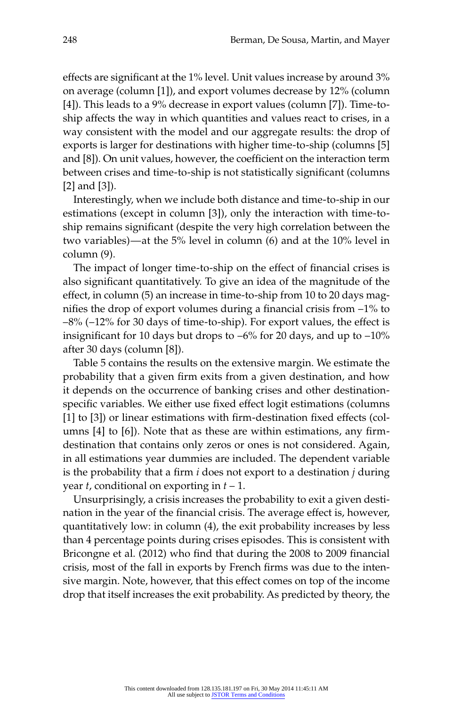effects are significant at the 1% level. Unit values increase by around 3% on average (column [1]), and export volumes decrease by 12% (column [4]). This leads to a 9% decrease in export values (column [7]). Time-toship affects the way in which quantities and values react to crises, in a way consistent with the model and our aggregate results: the drop of exports is larger for destinations with higher time-to-ship (columns [5] and [8]). On unit values, however, the coefficient on the interaction term between crises and time-to-ship is not statistically significant (columns [2] and [3]).

Interestingly, when we include both distance and time-to-ship in our estimations (except in column [3]), only the interaction with time-toship remains significant (despite the very high correlation between the two variables)—at the 5% level in column (6) and at the 10% level in column (9).

The impact of longer time-to-ship on the effect of financial crises is also significant quantitatively. To give an idea of the magnitude of the effect, in column (5) an increase in time-to-ship from 10 to 20 days magnifies the drop of export volumes during a financial crisis from  $-1\%$  to  $-8\%$  ( $-12\%$  for 30 days of time-to-ship). For export values, the effect is insignificant for 10 days but drops to  $-6\%$  for 20 days, and up to  $-10\%$ after 30 days (column [8]).

Table 5 contains the results on the extensive margin. We estimate the probability that a given firm exits from a given destination, and how it depends on the occurrence of banking crises and other destinationspecific variables. We either use fixed effect logit estimations (columns  $[1]$  to  $[3]$ ) or linear estimations with firm-destination fixed effects (columns  $[4]$  to  $[6]$ ). Note that as these are within estimations, any firmdestination that contains only zeros or ones is not considered. Again, in all estimations year dummies are included. The dependent variable is the probability that a firm  $i$  does not export to a destination  $j$  during year *t*, conditional on exporting in *t* – 1.

Unsurprisingly, a crisis increases the probability to exit a given destination in the year of the financial crisis. The average effect is, however, quantitatively low: in column (4), the exit probability increases by less than 4 percentage points during crises episodes. This is consistent with Bricongne et al. (2012) who find that during the 2008 to 2009 financial crisis, most of the fall in exports by French firms was due to the intensive margin. Note, however, that this effect comes on top of the income drop that itself increases the exit probability. As predicted by theory, the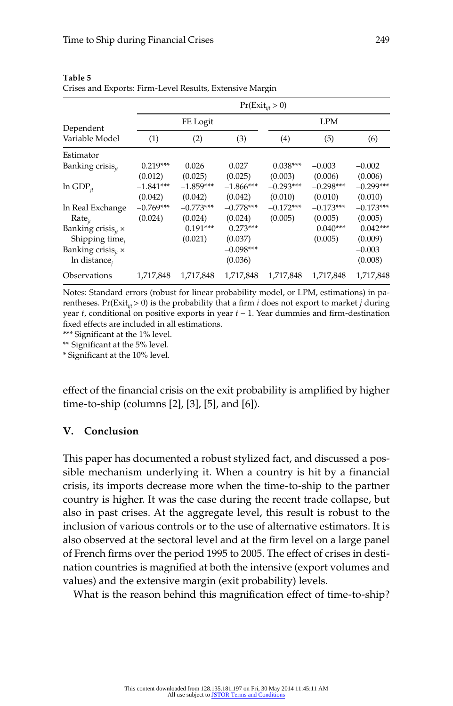|                              |             |             |             | $Pr(Exit_{iit} > 0)$ |             |             |
|------------------------------|-------------|-------------|-------------|----------------------|-------------|-------------|
| Dependent                    |             | FE Logit    |             |                      | <b>LPM</b>  |             |
| Variable Model               | (1)         | (2)         | (3)         | (4)                  | (5)         | (6)         |
| Estimator                    |             |             |             |                      |             |             |
| Banking crisis <sub>it</sub> | $0.219***$  | 0.026       | 0.027       | $0.038***$           | $-0.003$    | $-0.002$    |
|                              | (0.012)     | (0.025)     | (0.025)     | (0.003)              | (0.006)     | (0.006)     |
| $ln GDP_{it}$                | $-1.841***$ | $-1.859***$ | $-1.866***$ | $-0.293***$          | $-0.298***$ | $-0.299***$ |
|                              | (0.042)     | (0.042)     | (0.042)     | (0.010)              | (0.010)     | (0.010)     |
| In Real Exchange             | $-0.769***$ | $-0.773***$ | $-0.778***$ | $-0.172***$          | $-0.173***$ | $-0.173***$ |
| $Rate_{it}$                  | (0.024)     | (0.024)     | (0.024)     | (0.005)              | (0.005)     | (0.005)     |
| Banking crisis $_{it}$ ×     |             | $0.191***$  | $0.273***$  |                      | $0.040***$  | $0.042***$  |
| Shipping time,               |             | (0.021)     | (0.037)     |                      | (0.005)     | (0.009)     |
| Banking crisis $_{it}$ ×     |             |             | $-0.098***$ |                      |             | $-0.003$    |
| In distance,                 |             |             | (0.036)     |                      |             | (0.008)     |
| Observations                 | 1,717,848   | 1,717,848   | 1,717,848   | 1,717,848            | 1,717,848   | 1,717,848   |

**Table 5**  Crises and Exports: Firm- Level Results, Extensive Margin

Notes: Standard errors (robust for linear probability model, or LPM, estimations) in parentheses. Pr( $Exit_{i,i} > 0$ ) is the probability that a firm *i* does not export to market *j* during year  $t$ , conditional on positive exports in year  $t - 1$ . Year dummies and firm-destination fixed effects are included in all estimations.

\*\*\* Significant at the 1% level.

\*\* Significant at the 5% level.

\* Significant at the 10% level.

effect of the financial crisis on the exit probability is amplified by higher time-to-ship (columns  $[2]$ ,  $[3]$ ,  $[5]$ , and  $[6]$ ).

#### **V. Conclusion**

This paper has documented a robust stylized fact, and discussed a possible mechanism underlying it. When a country is hit by a financial crisis, its imports decrease more when the time- to- ship to the partner country is higher. It was the case during the recent trade collapse, but also in past crises. At the aggregate level, this result is robust to the inclusion of various controls or to the use of alternative estimators. It is also observed at the sectoral level and at the firm level on a large panel of French firms over the period 1995 to 2005. The effect of crises in destination countries is magnified at both the intensive (export volumes and values) and the extensive margin (exit probability) levels.

What is the reason behind this magnification effect of time-to-ship?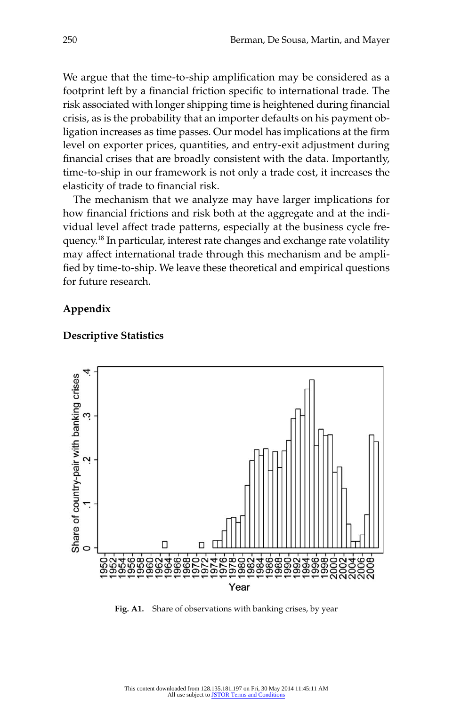We argue that the time-to-ship amplification may be considered as a footprint left by a financial friction specific to international trade. The risk associated with longer shipping time is heightened during financial crisis, as is the probability that an importer defaults on his payment obligation increases as time passes. Our model has implications at the firm level on exporter prices, quantities, and entry-exit adjustment during financial crises that are broadly consistent with the data. Importantly, time- to- ship in our framework is not only a trade cost, it increases the elasticity of trade to financial risk.

The mechanism that we analyze may have larger implications for how financial frictions and risk both at the aggregate and at the individual level affect trade patterns, especially at the business cycle frequency.18 In particular, interest rate changes and exchange rate volatility may affect international trade through this mechanism and be amplified by time-to-ship. We leave these theoretical and empirical questions for future research.

#### **Appendix**



#### **Descriptive Statistics**

**Fig. A1.** Share of observations with banking crises, by year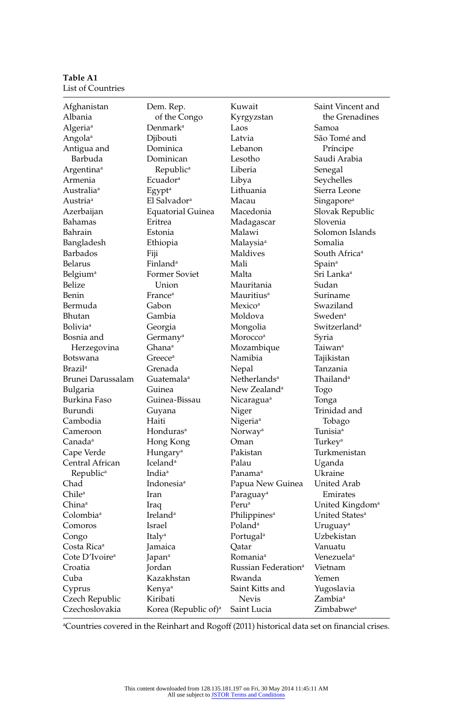**Table A1**  List of Countries

| of the Congo<br>the Grenadines<br>Albania<br>Kyrgyzstan<br>Denmark <sup>a</sup><br>Samoa<br>Algeria <sup>a</sup><br>Laos<br>Djibouti<br>Latvia<br>São Tomé and<br>Angola <sup>a</sup><br>Antigua and<br>Dominica<br>Lebanon<br>Príncipe<br>Barbuda<br>Dominican<br>Lesotho<br>Saudi Arabia<br>Republic <sup>a</sup><br>Liberia<br>Argentina <sup>a</sup><br>Senegal<br>Ecuador <sup>a</sup><br>Libya<br>Seychelles<br>Armenia<br>Lithuania<br>Australia <sup>a</sup><br>Egypt <sup>a</sup><br>Sierra Leone<br>Austria <sup>a</sup><br>El Salvador <sup>a</sup><br>Macau<br>Singapore <sup>a</sup><br>Slovak Republic<br>Azerbaijan<br>Equatorial Guinea<br>Macedonia<br>Bahamas<br>Slovenia<br>Eritrea<br>Madagascar<br>Bahrain<br>Solomon Islands<br>Estonia<br>Malawi<br>Somalia<br>Bangladesh<br>Ethiopia<br>Malaysia <sup>a</sup><br>Maldives<br>Barbados<br>South Africa <sup>a</sup><br>Fiji<br>Finland <sup>a</sup><br>Mali<br>Spain <sup>a</sup><br>Belarus<br>Former Soviet<br>Sri Lanka <sup>a</sup><br>Belgium <sup>a</sup><br>Malta<br>Belize<br>Mauritania<br>Sudan<br>Union<br>Benin<br>France <sup>a</sup><br>Mauritius <sup>a</sup><br>Suriname<br>Bermuda<br>Swaziland<br>Gabon<br>Mexico <sup>a</sup><br>Gambia<br>Moldova<br>Sweden <sup>a</sup><br>Bhutan<br>Switzerland <sup>a</sup><br><b>Bolivia</b> <sup>a</sup><br>Georgia<br>Mongolia<br>Bosnia and<br>Morocco <sup>a</sup><br>Syria<br>Germany <sup>a</sup><br>Herzegovina<br>Ghana <sup>a</sup><br>Mozambique<br>Taiwan <sup>a</sup><br>Namibia<br>Tajikistan<br>Botswana<br>Greece <sup>a</sup><br><b>Brazil<sup>a</sup></b><br>Grenada<br>Nepal<br>Tanzania<br>Brunei Darussalam<br>Guatemala <sup>a</sup><br>Netherlands <sup>a</sup><br>Thailand <sup>a</sup><br>New Zealand <sup>a</sup><br>Bulgaria<br>Guinea<br>Togo<br>Burkina Faso<br>Guinea-Bissau<br>Nicaragua <sup>a</sup><br>Tonga<br>Burundi<br>Trinidad and<br>Niger<br>Guyana<br>Cambodia<br>Nigeria <sup>a</sup><br>Haiti<br>Tobago<br>Honduras <sup>a</sup><br>Norway <sup>a</sup><br>Tunisia <sup>a</sup><br>Cameroon<br>Hong Kong<br>Oman<br>Turkey <sup>a</sup><br>Canada <sup>a</sup><br>Pakistan<br>Cape Verde<br>Hungary <sup>a</sup><br>Turkmenistan<br>Central African<br>Iceland <sup>a</sup><br>Palau<br>Uganda<br>India <sup>a</sup><br>Republic <sup>a</sup><br>Panama <sup>a</sup><br>Ukraine<br>Chad<br>Indonesia <sup>a</sup><br>Papua New Guinea<br>United Arab<br>Chile <sup>a</sup><br>Iran<br>Paraguay <sup>a</sup><br>Emirates<br>Peru <sup>a</sup><br>United Kingdom <sup>a</sup><br>China <sup>a</sup><br>Iraq<br>Ireland <sup>a</sup><br>Colombia <sup>a</sup><br>United States <sup>a</sup><br>Philippines <sup>a</sup><br>Poland <sup>a</sup><br>Comoros<br>Israel<br>Uruguay <sup>a</sup><br>Uzbekistan<br>Italy <sup>a</sup><br>Portugal <sup>a</sup><br>Congo<br>Vanuatu<br>Costa Rica <sup>a</sup><br>Jamaica<br>Qatar<br>Cote D'Ivoire <sup>a</sup><br>Romania <sup>a</sup><br>Venezuelaª<br>Japan <sup>a</sup><br>Jordan<br>Russian Federation <sup>a</sup><br>Croatia<br>Vietnam<br>Cuba<br>Kazakhstan<br>Rwanda<br>Yemen<br>Saint Kitts and<br>Yugoslavia<br>Cyprus<br>Kenya <sup>a</sup><br>Czech Republic<br><b>Nevis</b><br>Zambia <sup>a</sup><br>Kiribati<br>Czechoslovakia<br>Saint Lucia<br>Zimbabwe <sup>a</sup> | Afghanistan | Dem. Rep.                        | Kuwait | Saint Vincent and |
|---------------------------------------------------------------------------------------------------------------------------------------------------------------------------------------------------------------------------------------------------------------------------------------------------------------------------------------------------------------------------------------------------------------------------------------------------------------------------------------------------------------------------------------------------------------------------------------------------------------------------------------------------------------------------------------------------------------------------------------------------------------------------------------------------------------------------------------------------------------------------------------------------------------------------------------------------------------------------------------------------------------------------------------------------------------------------------------------------------------------------------------------------------------------------------------------------------------------------------------------------------------------------------------------------------------------------------------------------------------------------------------------------------------------------------------------------------------------------------------------------------------------------------------------------------------------------------------------------------------------------------------------------------------------------------------------------------------------------------------------------------------------------------------------------------------------------------------------------------------------------------------------------------------------------------------------------------------------------------------------------------------------------------------------------------------------------------------------------------------------------------------------------------------------------------------------------------------------------------------------------------------------------------------------------------------------------------------------------------------------------------------------------------------------------------------------------------------------------------------------------------------------------------------------------------------------------------------------------------------------------------------------------------------------------------------------------------------------------------------------------------------------------------------------------------------------------------------------------------------------------------------------------------------------------------------------------------------------------------------------------------------------------------------------------------------------------------------------------------------------------------------------------------------------------------------------------------------------------------------------------------------------------------------------------------|-------------|----------------------------------|--------|-------------------|
|                                                                                                                                                                                                                                                                                                                                                                                                                                                                                                                                                                                                                                                                                                                                                                                                                                                                                                                                                                                                                                                                                                                                                                                                                                                                                                                                                                                                                                                                                                                                                                                                                                                                                                                                                                                                                                                                                                                                                                                                                                                                                                                                                                                                                                                                                                                                                                                                                                                                                                                                                                                                                                                                                                                                                                                                                                                                                                                                                                                                                                                                                                                                                                                                                                                                                                         |             |                                  |        |                   |
|                                                                                                                                                                                                                                                                                                                                                                                                                                                                                                                                                                                                                                                                                                                                                                                                                                                                                                                                                                                                                                                                                                                                                                                                                                                                                                                                                                                                                                                                                                                                                                                                                                                                                                                                                                                                                                                                                                                                                                                                                                                                                                                                                                                                                                                                                                                                                                                                                                                                                                                                                                                                                                                                                                                                                                                                                                                                                                                                                                                                                                                                                                                                                                                                                                                                                                         |             |                                  |        |                   |
|                                                                                                                                                                                                                                                                                                                                                                                                                                                                                                                                                                                                                                                                                                                                                                                                                                                                                                                                                                                                                                                                                                                                                                                                                                                                                                                                                                                                                                                                                                                                                                                                                                                                                                                                                                                                                                                                                                                                                                                                                                                                                                                                                                                                                                                                                                                                                                                                                                                                                                                                                                                                                                                                                                                                                                                                                                                                                                                                                                                                                                                                                                                                                                                                                                                                                                         |             |                                  |        |                   |
|                                                                                                                                                                                                                                                                                                                                                                                                                                                                                                                                                                                                                                                                                                                                                                                                                                                                                                                                                                                                                                                                                                                                                                                                                                                                                                                                                                                                                                                                                                                                                                                                                                                                                                                                                                                                                                                                                                                                                                                                                                                                                                                                                                                                                                                                                                                                                                                                                                                                                                                                                                                                                                                                                                                                                                                                                                                                                                                                                                                                                                                                                                                                                                                                                                                                                                         |             |                                  |        |                   |
|                                                                                                                                                                                                                                                                                                                                                                                                                                                                                                                                                                                                                                                                                                                                                                                                                                                                                                                                                                                                                                                                                                                                                                                                                                                                                                                                                                                                                                                                                                                                                                                                                                                                                                                                                                                                                                                                                                                                                                                                                                                                                                                                                                                                                                                                                                                                                                                                                                                                                                                                                                                                                                                                                                                                                                                                                                                                                                                                                                                                                                                                                                                                                                                                                                                                                                         |             |                                  |        |                   |
|                                                                                                                                                                                                                                                                                                                                                                                                                                                                                                                                                                                                                                                                                                                                                                                                                                                                                                                                                                                                                                                                                                                                                                                                                                                                                                                                                                                                                                                                                                                                                                                                                                                                                                                                                                                                                                                                                                                                                                                                                                                                                                                                                                                                                                                                                                                                                                                                                                                                                                                                                                                                                                                                                                                                                                                                                                                                                                                                                                                                                                                                                                                                                                                                                                                                                                         |             |                                  |        |                   |
|                                                                                                                                                                                                                                                                                                                                                                                                                                                                                                                                                                                                                                                                                                                                                                                                                                                                                                                                                                                                                                                                                                                                                                                                                                                                                                                                                                                                                                                                                                                                                                                                                                                                                                                                                                                                                                                                                                                                                                                                                                                                                                                                                                                                                                                                                                                                                                                                                                                                                                                                                                                                                                                                                                                                                                                                                                                                                                                                                                                                                                                                                                                                                                                                                                                                                                         |             |                                  |        |                   |
|                                                                                                                                                                                                                                                                                                                                                                                                                                                                                                                                                                                                                                                                                                                                                                                                                                                                                                                                                                                                                                                                                                                                                                                                                                                                                                                                                                                                                                                                                                                                                                                                                                                                                                                                                                                                                                                                                                                                                                                                                                                                                                                                                                                                                                                                                                                                                                                                                                                                                                                                                                                                                                                                                                                                                                                                                                                                                                                                                                                                                                                                                                                                                                                                                                                                                                         |             |                                  |        |                   |
|                                                                                                                                                                                                                                                                                                                                                                                                                                                                                                                                                                                                                                                                                                                                                                                                                                                                                                                                                                                                                                                                                                                                                                                                                                                                                                                                                                                                                                                                                                                                                                                                                                                                                                                                                                                                                                                                                                                                                                                                                                                                                                                                                                                                                                                                                                                                                                                                                                                                                                                                                                                                                                                                                                                                                                                                                                                                                                                                                                                                                                                                                                                                                                                                                                                                                                         |             |                                  |        |                   |
|                                                                                                                                                                                                                                                                                                                                                                                                                                                                                                                                                                                                                                                                                                                                                                                                                                                                                                                                                                                                                                                                                                                                                                                                                                                                                                                                                                                                                                                                                                                                                                                                                                                                                                                                                                                                                                                                                                                                                                                                                                                                                                                                                                                                                                                                                                                                                                                                                                                                                                                                                                                                                                                                                                                                                                                                                                                                                                                                                                                                                                                                                                                                                                                                                                                                                                         |             |                                  |        |                   |
|                                                                                                                                                                                                                                                                                                                                                                                                                                                                                                                                                                                                                                                                                                                                                                                                                                                                                                                                                                                                                                                                                                                                                                                                                                                                                                                                                                                                                                                                                                                                                                                                                                                                                                                                                                                                                                                                                                                                                                                                                                                                                                                                                                                                                                                                                                                                                                                                                                                                                                                                                                                                                                                                                                                                                                                                                                                                                                                                                                                                                                                                                                                                                                                                                                                                                                         |             |                                  |        |                   |
|                                                                                                                                                                                                                                                                                                                                                                                                                                                                                                                                                                                                                                                                                                                                                                                                                                                                                                                                                                                                                                                                                                                                                                                                                                                                                                                                                                                                                                                                                                                                                                                                                                                                                                                                                                                                                                                                                                                                                                                                                                                                                                                                                                                                                                                                                                                                                                                                                                                                                                                                                                                                                                                                                                                                                                                                                                                                                                                                                                                                                                                                                                                                                                                                                                                                                                         |             |                                  |        |                   |
|                                                                                                                                                                                                                                                                                                                                                                                                                                                                                                                                                                                                                                                                                                                                                                                                                                                                                                                                                                                                                                                                                                                                                                                                                                                                                                                                                                                                                                                                                                                                                                                                                                                                                                                                                                                                                                                                                                                                                                                                                                                                                                                                                                                                                                                                                                                                                                                                                                                                                                                                                                                                                                                                                                                                                                                                                                                                                                                                                                                                                                                                                                                                                                                                                                                                                                         |             |                                  |        |                   |
|                                                                                                                                                                                                                                                                                                                                                                                                                                                                                                                                                                                                                                                                                                                                                                                                                                                                                                                                                                                                                                                                                                                                                                                                                                                                                                                                                                                                                                                                                                                                                                                                                                                                                                                                                                                                                                                                                                                                                                                                                                                                                                                                                                                                                                                                                                                                                                                                                                                                                                                                                                                                                                                                                                                                                                                                                                                                                                                                                                                                                                                                                                                                                                                                                                                                                                         |             |                                  |        |                   |
|                                                                                                                                                                                                                                                                                                                                                                                                                                                                                                                                                                                                                                                                                                                                                                                                                                                                                                                                                                                                                                                                                                                                                                                                                                                                                                                                                                                                                                                                                                                                                                                                                                                                                                                                                                                                                                                                                                                                                                                                                                                                                                                                                                                                                                                                                                                                                                                                                                                                                                                                                                                                                                                                                                                                                                                                                                                                                                                                                                                                                                                                                                                                                                                                                                                                                                         |             |                                  |        |                   |
|                                                                                                                                                                                                                                                                                                                                                                                                                                                                                                                                                                                                                                                                                                                                                                                                                                                                                                                                                                                                                                                                                                                                                                                                                                                                                                                                                                                                                                                                                                                                                                                                                                                                                                                                                                                                                                                                                                                                                                                                                                                                                                                                                                                                                                                                                                                                                                                                                                                                                                                                                                                                                                                                                                                                                                                                                                                                                                                                                                                                                                                                                                                                                                                                                                                                                                         |             |                                  |        |                   |
|                                                                                                                                                                                                                                                                                                                                                                                                                                                                                                                                                                                                                                                                                                                                                                                                                                                                                                                                                                                                                                                                                                                                                                                                                                                                                                                                                                                                                                                                                                                                                                                                                                                                                                                                                                                                                                                                                                                                                                                                                                                                                                                                                                                                                                                                                                                                                                                                                                                                                                                                                                                                                                                                                                                                                                                                                                                                                                                                                                                                                                                                                                                                                                                                                                                                                                         |             |                                  |        |                   |
|                                                                                                                                                                                                                                                                                                                                                                                                                                                                                                                                                                                                                                                                                                                                                                                                                                                                                                                                                                                                                                                                                                                                                                                                                                                                                                                                                                                                                                                                                                                                                                                                                                                                                                                                                                                                                                                                                                                                                                                                                                                                                                                                                                                                                                                                                                                                                                                                                                                                                                                                                                                                                                                                                                                                                                                                                                                                                                                                                                                                                                                                                                                                                                                                                                                                                                         |             |                                  |        |                   |
|                                                                                                                                                                                                                                                                                                                                                                                                                                                                                                                                                                                                                                                                                                                                                                                                                                                                                                                                                                                                                                                                                                                                                                                                                                                                                                                                                                                                                                                                                                                                                                                                                                                                                                                                                                                                                                                                                                                                                                                                                                                                                                                                                                                                                                                                                                                                                                                                                                                                                                                                                                                                                                                                                                                                                                                                                                                                                                                                                                                                                                                                                                                                                                                                                                                                                                         |             |                                  |        |                   |
|                                                                                                                                                                                                                                                                                                                                                                                                                                                                                                                                                                                                                                                                                                                                                                                                                                                                                                                                                                                                                                                                                                                                                                                                                                                                                                                                                                                                                                                                                                                                                                                                                                                                                                                                                                                                                                                                                                                                                                                                                                                                                                                                                                                                                                                                                                                                                                                                                                                                                                                                                                                                                                                                                                                                                                                                                                                                                                                                                                                                                                                                                                                                                                                                                                                                                                         |             |                                  |        |                   |
|                                                                                                                                                                                                                                                                                                                                                                                                                                                                                                                                                                                                                                                                                                                                                                                                                                                                                                                                                                                                                                                                                                                                                                                                                                                                                                                                                                                                                                                                                                                                                                                                                                                                                                                                                                                                                                                                                                                                                                                                                                                                                                                                                                                                                                                                                                                                                                                                                                                                                                                                                                                                                                                                                                                                                                                                                                                                                                                                                                                                                                                                                                                                                                                                                                                                                                         |             |                                  |        |                   |
|                                                                                                                                                                                                                                                                                                                                                                                                                                                                                                                                                                                                                                                                                                                                                                                                                                                                                                                                                                                                                                                                                                                                                                                                                                                                                                                                                                                                                                                                                                                                                                                                                                                                                                                                                                                                                                                                                                                                                                                                                                                                                                                                                                                                                                                                                                                                                                                                                                                                                                                                                                                                                                                                                                                                                                                                                                                                                                                                                                                                                                                                                                                                                                                                                                                                                                         |             |                                  |        |                   |
|                                                                                                                                                                                                                                                                                                                                                                                                                                                                                                                                                                                                                                                                                                                                                                                                                                                                                                                                                                                                                                                                                                                                                                                                                                                                                                                                                                                                                                                                                                                                                                                                                                                                                                                                                                                                                                                                                                                                                                                                                                                                                                                                                                                                                                                                                                                                                                                                                                                                                                                                                                                                                                                                                                                                                                                                                                                                                                                                                                                                                                                                                                                                                                                                                                                                                                         |             |                                  |        |                   |
|                                                                                                                                                                                                                                                                                                                                                                                                                                                                                                                                                                                                                                                                                                                                                                                                                                                                                                                                                                                                                                                                                                                                                                                                                                                                                                                                                                                                                                                                                                                                                                                                                                                                                                                                                                                                                                                                                                                                                                                                                                                                                                                                                                                                                                                                                                                                                                                                                                                                                                                                                                                                                                                                                                                                                                                                                                                                                                                                                                                                                                                                                                                                                                                                                                                                                                         |             |                                  |        |                   |
|                                                                                                                                                                                                                                                                                                                                                                                                                                                                                                                                                                                                                                                                                                                                                                                                                                                                                                                                                                                                                                                                                                                                                                                                                                                                                                                                                                                                                                                                                                                                                                                                                                                                                                                                                                                                                                                                                                                                                                                                                                                                                                                                                                                                                                                                                                                                                                                                                                                                                                                                                                                                                                                                                                                                                                                                                                                                                                                                                                                                                                                                                                                                                                                                                                                                                                         |             |                                  |        |                   |
|                                                                                                                                                                                                                                                                                                                                                                                                                                                                                                                                                                                                                                                                                                                                                                                                                                                                                                                                                                                                                                                                                                                                                                                                                                                                                                                                                                                                                                                                                                                                                                                                                                                                                                                                                                                                                                                                                                                                                                                                                                                                                                                                                                                                                                                                                                                                                                                                                                                                                                                                                                                                                                                                                                                                                                                                                                                                                                                                                                                                                                                                                                                                                                                                                                                                                                         |             |                                  |        |                   |
|                                                                                                                                                                                                                                                                                                                                                                                                                                                                                                                                                                                                                                                                                                                                                                                                                                                                                                                                                                                                                                                                                                                                                                                                                                                                                                                                                                                                                                                                                                                                                                                                                                                                                                                                                                                                                                                                                                                                                                                                                                                                                                                                                                                                                                                                                                                                                                                                                                                                                                                                                                                                                                                                                                                                                                                                                                                                                                                                                                                                                                                                                                                                                                                                                                                                                                         |             |                                  |        |                   |
|                                                                                                                                                                                                                                                                                                                                                                                                                                                                                                                                                                                                                                                                                                                                                                                                                                                                                                                                                                                                                                                                                                                                                                                                                                                                                                                                                                                                                                                                                                                                                                                                                                                                                                                                                                                                                                                                                                                                                                                                                                                                                                                                                                                                                                                                                                                                                                                                                                                                                                                                                                                                                                                                                                                                                                                                                                                                                                                                                                                                                                                                                                                                                                                                                                                                                                         |             |                                  |        |                   |
|                                                                                                                                                                                                                                                                                                                                                                                                                                                                                                                                                                                                                                                                                                                                                                                                                                                                                                                                                                                                                                                                                                                                                                                                                                                                                                                                                                                                                                                                                                                                                                                                                                                                                                                                                                                                                                                                                                                                                                                                                                                                                                                                                                                                                                                                                                                                                                                                                                                                                                                                                                                                                                                                                                                                                                                                                                                                                                                                                                                                                                                                                                                                                                                                                                                                                                         |             |                                  |        |                   |
|                                                                                                                                                                                                                                                                                                                                                                                                                                                                                                                                                                                                                                                                                                                                                                                                                                                                                                                                                                                                                                                                                                                                                                                                                                                                                                                                                                                                                                                                                                                                                                                                                                                                                                                                                                                                                                                                                                                                                                                                                                                                                                                                                                                                                                                                                                                                                                                                                                                                                                                                                                                                                                                                                                                                                                                                                                                                                                                                                                                                                                                                                                                                                                                                                                                                                                         |             |                                  |        |                   |
|                                                                                                                                                                                                                                                                                                                                                                                                                                                                                                                                                                                                                                                                                                                                                                                                                                                                                                                                                                                                                                                                                                                                                                                                                                                                                                                                                                                                                                                                                                                                                                                                                                                                                                                                                                                                                                                                                                                                                                                                                                                                                                                                                                                                                                                                                                                                                                                                                                                                                                                                                                                                                                                                                                                                                                                                                                                                                                                                                                                                                                                                                                                                                                                                                                                                                                         |             |                                  |        |                   |
|                                                                                                                                                                                                                                                                                                                                                                                                                                                                                                                                                                                                                                                                                                                                                                                                                                                                                                                                                                                                                                                                                                                                                                                                                                                                                                                                                                                                                                                                                                                                                                                                                                                                                                                                                                                                                                                                                                                                                                                                                                                                                                                                                                                                                                                                                                                                                                                                                                                                                                                                                                                                                                                                                                                                                                                                                                                                                                                                                                                                                                                                                                                                                                                                                                                                                                         |             |                                  |        |                   |
|                                                                                                                                                                                                                                                                                                                                                                                                                                                                                                                                                                                                                                                                                                                                                                                                                                                                                                                                                                                                                                                                                                                                                                                                                                                                                                                                                                                                                                                                                                                                                                                                                                                                                                                                                                                                                                                                                                                                                                                                                                                                                                                                                                                                                                                                                                                                                                                                                                                                                                                                                                                                                                                                                                                                                                                                                                                                                                                                                                                                                                                                                                                                                                                                                                                                                                         |             |                                  |        |                   |
|                                                                                                                                                                                                                                                                                                                                                                                                                                                                                                                                                                                                                                                                                                                                                                                                                                                                                                                                                                                                                                                                                                                                                                                                                                                                                                                                                                                                                                                                                                                                                                                                                                                                                                                                                                                                                                                                                                                                                                                                                                                                                                                                                                                                                                                                                                                                                                                                                                                                                                                                                                                                                                                                                                                                                                                                                                                                                                                                                                                                                                                                                                                                                                                                                                                                                                         |             |                                  |        |                   |
|                                                                                                                                                                                                                                                                                                                                                                                                                                                                                                                                                                                                                                                                                                                                                                                                                                                                                                                                                                                                                                                                                                                                                                                                                                                                                                                                                                                                                                                                                                                                                                                                                                                                                                                                                                                                                                                                                                                                                                                                                                                                                                                                                                                                                                                                                                                                                                                                                                                                                                                                                                                                                                                                                                                                                                                                                                                                                                                                                                                                                                                                                                                                                                                                                                                                                                         |             |                                  |        |                   |
|                                                                                                                                                                                                                                                                                                                                                                                                                                                                                                                                                                                                                                                                                                                                                                                                                                                                                                                                                                                                                                                                                                                                                                                                                                                                                                                                                                                                                                                                                                                                                                                                                                                                                                                                                                                                                                                                                                                                                                                                                                                                                                                                                                                                                                                                                                                                                                                                                                                                                                                                                                                                                                                                                                                                                                                                                                                                                                                                                                                                                                                                                                                                                                                                                                                                                                         |             |                                  |        |                   |
|                                                                                                                                                                                                                                                                                                                                                                                                                                                                                                                                                                                                                                                                                                                                                                                                                                                                                                                                                                                                                                                                                                                                                                                                                                                                                                                                                                                                                                                                                                                                                                                                                                                                                                                                                                                                                                                                                                                                                                                                                                                                                                                                                                                                                                                                                                                                                                                                                                                                                                                                                                                                                                                                                                                                                                                                                                                                                                                                                                                                                                                                                                                                                                                                                                                                                                         |             |                                  |        |                   |
|                                                                                                                                                                                                                                                                                                                                                                                                                                                                                                                                                                                                                                                                                                                                                                                                                                                                                                                                                                                                                                                                                                                                                                                                                                                                                                                                                                                                                                                                                                                                                                                                                                                                                                                                                                                                                                                                                                                                                                                                                                                                                                                                                                                                                                                                                                                                                                                                                                                                                                                                                                                                                                                                                                                                                                                                                                                                                                                                                                                                                                                                                                                                                                                                                                                                                                         |             |                                  |        |                   |
|                                                                                                                                                                                                                                                                                                                                                                                                                                                                                                                                                                                                                                                                                                                                                                                                                                                                                                                                                                                                                                                                                                                                                                                                                                                                                                                                                                                                                                                                                                                                                                                                                                                                                                                                                                                                                                                                                                                                                                                                                                                                                                                                                                                                                                                                                                                                                                                                                                                                                                                                                                                                                                                                                                                                                                                                                                                                                                                                                                                                                                                                                                                                                                                                                                                                                                         |             |                                  |        |                   |
|                                                                                                                                                                                                                                                                                                                                                                                                                                                                                                                                                                                                                                                                                                                                                                                                                                                                                                                                                                                                                                                                                                                                                                                                                                                                                                                                                                                                                                                                                                                                                                                                                                                                                                                                                                                                                                                                                                                                                                                                                                                                                                                                                                                                                                                                                                                                                                                                                                                                                                                                                                                                                                                                                                                                                                                                                                                                                                                                                                                                                                                                                                                                                                                                                                                                                                         |             |                                  |        |                   |
|                                                                                                                                                                                                                                                                                                                                                                                                                                                                                                                                                                                                                                                                                                                                                                                                                                                                                                                                                                                                                                                                                                                                                                                                                                                                                                                                                                                                                                                                                                                                                                                                                                                                                                                                                                                                                                                                                                                                                                                                                                                                                                                                                                                                                                                                                                                                                                                                                                                                                                                                                                                                                                                                                                                                                                                                                                                                                                                                                                                                                                                                                                                                                                                                                                                                                                         |             |                                  |        |                   |
|                                                                                                                                                                                                                                                                                                                                                                                                                                                                                                                                                                                                                                                                                                                                                                                                                                                                                                                                                                                                                                                                                                                                                                                                                                                                                                                                                                                                                                                                                                                                                                                                                                                                                                                                                                                                                                                                                                                                                                                                                                                                                                                                                                                                                                                                                                                                                                                                                                                                                                                                                                                                                                                                                                                                                                                                                                                                                                                                                                                                                                                                                                                                                                                                                                                                                                         |             |                                  |        |                   |
|                                                                                                                                                                                                                                                                                                                                                                                                                                                                                                                                                                                                                                                                                                                                                                                                                                                                                                                                                                                                                                                                                                                                                                                                                                                                                                                                                                                                                                                                                                                                                                                                                                                                                                                                                                                                                                                                                                                                                                                                                                                                                                                                                                                                                                                                                                                                                                                                                                                                                                                                                                                                                                                                                                                                                                                                                                                                                                                                                                                                                                                                                                                                                                                                                                                                                                         |             |                                  |        |                   |
|                                                                                                                                                                                                                                                                                                                                                                                                                                                                                                                                                                                                                                                                                                                                                                                                                                                                                                                                                                                                                                                                                                                                                                                                                                                                                                                                                                                                                                                                                                                                                                                                                                                                                                                                                                                                                                                                                                                                                                                                                                                                                                                                                                                                                                                                                                                                                                                                                                                                                                                                                                                                                                                                                                                                                                                                                                                                                                                                                                                                                                                                                                                                                                                                                                                                                                         |             |                                  |        |                   |
|                                                                                                                                                                                                                                                                                                                                                                                                                                                                                                                                                                                                                                                                                                                                                                                                                                                                                                                                                                                                                                                                                                                                                                                                                                                                                                                                                                                                                                                                                                                                                                                                                                                                                                                                                                                                                                                                                                                                                                                                                                                                                                                                                                                                                                                                                                                                                                                                                                                                                                                                                                                                                                                                                                                                                                                                                                                                                                                                                                                                                                                                                                                                                                                                                                                                                                         |             |                                  |        |                   |
|                                                                                                                                                                                                                                                                                                                                                                                                                                                                                                                                                                                                                                                                                                                                                                                                                                                                                                                                                                                                                                                                                                                                                                                                                                                                                                                                                                                                                                                                                                                                                                                                                                                                                                                                                                                                                                                                                                                                                                                                                                                                                                                                                                                                                                                                                                                                                                                                                                                                                                                                                                                                                                                                                                                                                                                                                                                                                                                                                                                                                                                                                                                                                                                                                                                                                                         |             |                                  |        |                   |
|                                                                                                                                                                                                                                                                                                                                                                                                                                                                                                                                                                                                                                                                                                                                                                                                                                                                                                                                                                                                                                                                                                                                                                                                                                                                                                                                                                                                                                                                                                                                                                                                                                                                                                                                                                                                                                                                                                                                                                                                                                                                                                                                                                                                                                                                                                                                                                                                                                                                                                                                                                                                                                                                                                                                                                                                                                                                                                                                                                                                                                                                                                                                                                                                                                                                                                         |             |                                  |        |                   |
|                                                                                                                                                                                                                                                                                                                                                                                                                                                                                                                                                                                                                                                                                                                                                                                                                                                                                                                                                                                                                                                                                                                                                                                                                                                                                                                                                                                                                                                                                                                                                                                                                                                                                                                                                                                                                                                                                                                                                                                                                                                                                                                                                                                                                                                                                                                                                                                                                                                                                                                                                                                                                                                                                                                                                                                                                                                                                                                                                                                                                                                                                                                                                                                                                                                                                                         |             | Korea (Republic of) <sup>a</sup> |        |                   |

<sup>a</sup>Countries covered in the Reinhart and Rogoff (2011) historical data set on financial crises.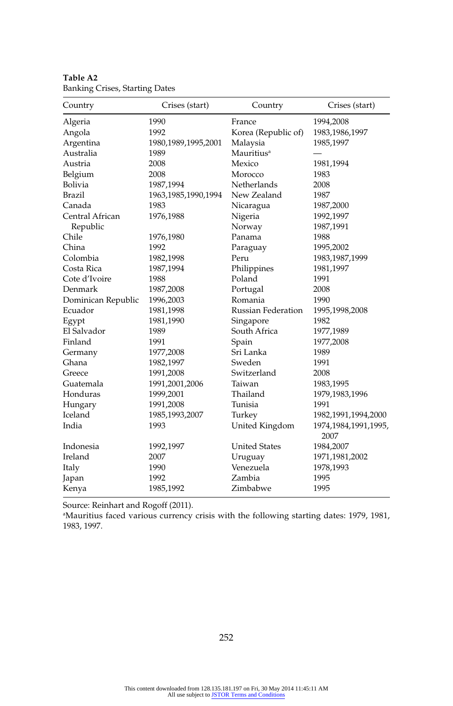| Country            | Crises (start)         | Country                   | Crises (start)                  |
|--------------------|------------------------|---------------------------|---------------------------------|
| Algeria            | 1990                   | France                    | 1994,2008                       |
| Angola             | 1992                   | Korea (Republic of)       | 1983,1986,1997                  |
| Argentina          | 1980, 1989, 1995, 2001 | Malaysia                  | 1985,1997                       |
| Australia          | 1989                   | Mauritius <sup>a</sup>    |                                 |
| Austria            | 2008                   | Mexico                    | 1981,1994                       |
| Belgium            | 2008                   | Morocco                   | 1983                            |
| Bolivia            | 1987,1994              | Netherlands               | 2008                            |
| <b>Brazil</b>      | 1963, 1985, 1990, 1994 | New Zealand               | 1987                            |
| Canada             | 1983                   | Nicaragua                 | 1987,2000                       |
| Central African    | 1976,1988              | Nigeria                   | 1992,1997                       |
| Republic           |                        | Norway                    | 1987,1991                       |
| Chile              | 1976,1980              | Panama                    | 1988                            |
| China              | 1992                   | Paraguay                  | 1995,2002                       |
| Colombia           | 1982,1998              | Peru                      | 1983, 1987, 1999                |
| Costa Rica         | 1987,1994              | Philippines               | 1981,1997                       |
| Cote d'Ivoire      | 1988                   | Poland                    | 1991                            |
| Denmark            | 1987,2008              | Portugal                  | 2008                            |
| Dominican Republic | 1996,2003              | Romania                   | 1990                            |
| Ecuador            | 1981,1998              | <b>Russian Federation</b> | 1995,1998,2008                  |
| Egypt              | 1981,1990              | Singapore                 | 1982                            |
| El Salvador        | 1989                   | South Africa              | 1977,1989                       |
| Finland            | 1991                   | Spain                     | 1977,2008                       |
| Germany            | 1977,2008              | Sri Lanka                 | 1989                            |
| Ghana              | 1982,1997              | Sweden                    | 1991                            |
| Greece             | 1991,2008              | Switzerland               | 2008                            |
| Guatemala          | 1991,2001,2006         | Taiwan                    | 1983,1995                       |
| Honduras           | 1999,2001              | Thailand                  | 1979,1983,1996                  |
| Hungary            | 1991,2008              | Tunisia                   | 1991                            |
| Iceland            | 1985,1993,2007         | Turkey                    | 1982,1991,1994,2000             |
| India              | 1993                   | United Kingdom            | 1974, 1984, 1991, 1995,<br>2007 |
| Indonesia          | 1992,1997              | <b>United States</b>      | 1984,2007                       |
| Ireland            | 2007                   | Uruguay                   | 1971, 1981, 2002                |
| Italy              | 1990                   | Venezuela                 | 1978,1993                       |
| Japan              | 1992                   | Zambia                    | 1995                            |
| Kenya              | 1985,1992              | Zimbabwe                  | 1995                            |

**Table A2**  Banking Crises, Starting Dates

Source: Reinhart and Rogoff (2011).

a Mauritius faced various currency crisis with the following starting dates: 1979, 1981, 1983, 1997.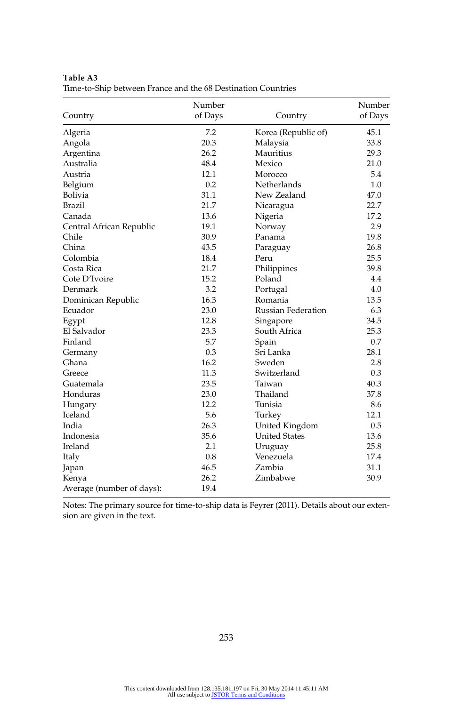|                           | Number  |                           | Number  |
|---------------------------|---------|---------------------------|---------|
| Country                   | of Days | Country                   | of Days |
| Algeria                   | 7.2     | Korea (Republic of)       | 45.1    |
| Angola                    | 20.3    | Malaysia                  | 33.8    |
| Argentina                 | 26.2    | Mauritius                 | 29.3    |
| Australia                 | 48.4    | Mexico                    | 21.0    |
| Austria                   | 12.1    | Morocco                   | 5.4     |
| Belgium                   | 0.2     | Netherlands               | 1.0     |
| Bolivia                   | 31.1    | New Zealand               | 47.0    |
| <b>Brazil</b>             | 21.7    | Nicaragua                 | 22.7    |
| Canada                    | 13.6    | Nigeria                   | 17.2    |
| Central African Republic  | 19.1    | Norway                    | 2.9     |
| Chile                     | 30.9    | Panama                    | 19.8    |
| China                     | 43.5    | Paraguay                  | 26.8    |
| Colombia                  | 18.4    | Peru                      | 25.5    |
| Costa Rica                | 21.7    | Philippines               | 39.8    |
| Cote D'Ivoire             | 15.2    | Poland                    | 4.4     |
| Denmark                   | 3.2     | Portugal                  | 4.0     |
| Dominican Republic        | 16.3    | Romania                   | 13.5    |
| Ecuador                   | 23.0    | <b>Russian Federation</b> | 6.3     |
| Egypt                     | 12.8    | Singapore                 | 34.5    |
| El Salvador               | 23.3    | South Africa              | 25.3    |
| Finland                   | 5.7     | Spain                     | 0.7     |
| Germany                   | 0.3     | Sri Lanka                 | 28.1    |
| Ghana                     | 16.2    | Sweden                    | 2.8     |
| Greece                    | 11.3    | Switzerland               | 0.3     |
| Guatemala                 | 23.5    | Taiwan                    | 40.3    |
| Honduras                  | 23.0    | Thailand                  | 37.8    |
| Hungary                   | 12.2    | Tunisia                   | 8.6     |
| Iceland                   | 5.6     | Turkey                    | 12.1    |
| India                     | 26.3    | United Kingdom            | 0.5     |
| Indonesia                 | 35.6    | <b>United States</b>      | 13.6    |
| Ireland                   | 2.1     | Uruguay                   | 25.8    |
| Italy                     | 0.8     | Venezuela                 | 17.4    |
| Japan                     | 46.5    | Zambia                    | 31.1    |
| Kenya                     | 26.2    | Zimbabwe                  | 30.9    |
| Average (number of days): | 19.4    |                           |         |

**Table A3**  Time- to- Ship between France and the 68 Destination Countries

Notes: The primary source for time- to- ship data is Feyrer (2011). Details about our extension are given in the text.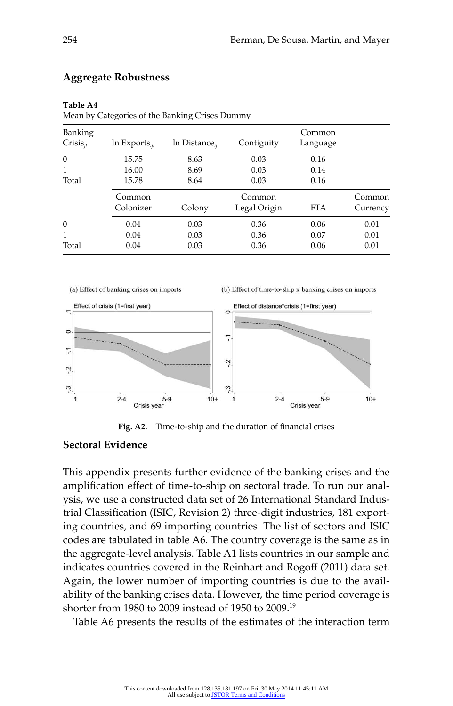| Banking<br>$Crisis_{it}$ | $ln$ Exports <sub><i>iit</i></sub> | $ln$ Distance <sub><i>ii</i></sub> | Contiguity   | Common<br>Language |          |
|--------------------------|------------------------------------|------------------------------------|--------------|--------------------|----------|
| $\mathbf{0}$             | 15.75                              | 8.63                               | 0.03         | 0.16               |          |
|                          | 16.00                              | 8.69                               | 0.03         | 0.14               |          |
| Total                    | 15.78                              | 8.64                               | 0.03         | 0.16               |          |
|                          | Common                             |                                    | Common       |                    | Common   |
|                          | Colonizer                          | Colony                             | Legal Origin | <b>FTA</b>         | Currency |
| $\mathbf{0}$             | 0.04                               | 0.03                               | 0.36         | 0.06               | 0.01     |
| 1                        | 0.04                               | 0.03                               | 0.36         | 0.07               | 0.01     |
| Total                    | 0.04                               | 0.03                               | 0.36         | 0.06               | 0.01     |
|                          |                                    |                                    |              |                    |          |

#### **Aggregate Robustness**

#### **Table A4**

Mean by Categories of the Banking Crises Dummy



Fig. A2. Time-to-ship and the duration of financial crises

### **Sectoral Evidence**

This appendix presents further evidence of the banking crises and the amplification effect of time-to-ship on sectoral trade. To run our analysis, we use a constructed data set of 26 International Standard Industrial Classification (ISIC, Revision 2) three-digit industries, 181 exporting countries, and 69 importing countries. The list of sectors and ISIC codes are tabulated in table A6. The country coverage is the same as in the aggregate- level analysis. Table A1 lists countries in our sample and indicates countries covered in the Reinhart and Rogoff (2011) data set. Again, the lower number of importing countries is due to the availability of the banking crises data. However, the time period coverage is shorter from 1980 to 2009 instead of 1950 to 2009.19

Table A6 presents the results of the estimates of the interaction term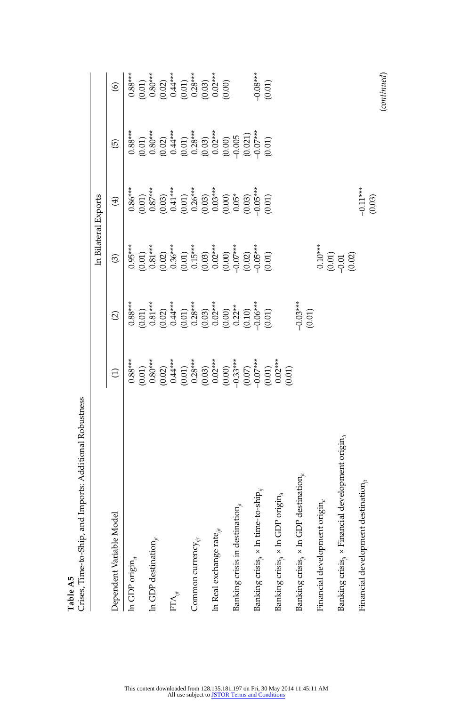|                                                                        |                                                                                                                                                                                                                                                                                                                                     |                                                                                                                                                                                                                                                                                                                                  |                                                                                                                                                                                                                                                                                                                       | In Bilateral Exports |                                                                                                                                                              |                                                                                                                                                                                                                                                                                                       |
|------------------------------------------------------------------------|-------------------------------------------------------------------------------------------------------------------------------------------------------------------------------------------------------------------------------------------------------------------------------------------------------------------------------------|----------------------------------------------------------------------------------------------------------------------------------------------------------------------------------------------------------------------------------------------------------------------------------------------------------------------------------|-----------------------------------------------------------------------------------------------------------------------------------------------------------------------------------------------------------------------------------------------------------------------------------------------------------------------|----------------------|--------------------------------------------------------------------------------------------------------------------------------------------------------------|-------------------------------------------------------------------------------------------------------------------------------------------------------------------------------------------------------------------------------------------------------------------------------------------------------|
| Dependent Variable Model                                               | $\widehat{\Xi}$                                                                                                                                                                                                                                                                                                                     | $\widehat{\Omega}$                                                                                                                                                                                                                                                                                                               | $\odot$                                                                                                                                                                                                                                                                                                               | $\bigoplus$          | ⑤                                                                                                                                                            | $\circledcirc$                                                                                                                                                                                                                                                                                        |
| In GDP origin $_{it}$                                                  | $0.88***$                                                                                                                                                                                                                                                                                                                           | $0.88***$                                                                                                                                                                                                                                                                                                                        | $0.95***$                                                                                                                                                                                                                                                                                                             |                      | $0.88***$                                                                                                                                                    |                                                                                                                                                                                                                                                                                                       |
|                                                                        |                                                                                                                                                                                                                                                                                                                                     |                                                                                                                                                                                                                                                                                                                                  |                                                                                                                                                                                                                                                                                                                       |                      |                                                                                                                                                              | $\begin{array}{c} 0.88***\\ (0.01)\\ (0.02)\\ (0.02)\\ (0.01)\\ (0.01)\\ (0.01)\\ (0.01)\\ (0.03)\\ (0.00)\\ (0.00)\\ (0.00)\\ (0.00)\\ (0.00)\\ (0.00)\\ (0.00)\\ (0.00)\\ (0.00)\\ (0.00)\\ (0.00)\\ (0.00)\\ (0.00)\\ (0.00)\\ (0.00)\\ (0.00)\\ (0.00)\\ (0.00)\\ (0.00)\\ (0.00)\\ (0.00)\\ (0.$ |
| In GDP destination $_{it}$                                             |                                                                                                                                                                                                                                                                                                                                     |                                                                                                                                                                                                                                                                                                                                  |                                                                                                                                                                                                                                                                                                                       |                      |                                                                                                                                                              |                                                                                                                                                                                                                                                                                                       |
|                                                                        |                                                                                                                                                                                                                                                                                                                                     | $\begin{smallmatrix} (0.01)\\ 0.81^{***}\\ 0.92^{***}\\ 0.44^{***}\\ (0.01)\\ 0.28^{***}\\ (0.03)\\ 0.02^{***}\\ (0.03)\\ 0.001\\ (0.01)\\ 0.02^{***}\\ (0.04^{**}\\ 0.04^{***}\\ (0.01)\\ 0.06^{***}\\ (0.01)\\ (0.01)\\ (0.01)\\ (0.01)\\ (0.01)\\ (0.01)\\ (0.01)\\ (0.01)\\ (0.01)\\ (0.01)\\ (0.01)\\ (0.01)\\ (0.01)\\ (0$ | $\begin{smallmatrix} (0.01)\\ 0.81^{***}\\ 0.36^{***}\\ 0.02)\\ (0.01)\\ 0.15^{***}\\ (0.01)\\ 0.02^{***}\\ (0.01)\\ (0.02)\\ (0.00)\\ (0.01)\\ (0.02)\\ (0.03^{***}\\ (0.01)\\ (0.01)\\ (0.01)\\ (0.01)\\ (0.01)\\ (0.01)\\ (0.01)\\ (0.01)\\ (0.01)\\ (0.01)\\ (0.01)\\ (0.01)\\ (0.01)\\ (0.01)\\ (0.01)\\ (0.01)$ |                      | $(0.01)$ $(0.80**$ $(0.02)$ $(0.04**$ $(0.03)$ $(0.04**)$ $(0.03)$ $(0.000)$ $(0.000)$ $(0.000)$ $(0.000)$ $(0.000)$ $(0.000)$ $(0.000)$ $(0.000)$ $(0.000)$ |                                                                                                                                                                                                                                                                                                       |
| $\mathrm{FTA}_{\mathit{iii}}$                                          |                                                                                                                                                                                                                                                                                                                                     |                                                                                                                                                                                                                                                                                                                                  |                                                                                                                                                                                                                                                                                                                       |                      |                                                                                                                                                              |                                                                                                                                                                                                                                                                                                       |
|                                                                        |                                                                                                                                                                                                                                                                                                                                     |                                                                                                                                                                                                                                                                                                                                  |                                                                                                                                                                                                                                                                                                                       |                      |                                                                                                                                                              |                                                                                                                                                                                                                                                                                                       |
| Common currency $_{\text{eff}}$                                        |                                                                                                                                                                                                                                                                                                                                     |                                                                                                                                                                                                                                                                                                                                  |                                                                                                                                                                                                                                                                                                                       |                      |                                                                                                                                                              |                                                                                                                                                                                                                                                                                                       |
|                                                                        |                                                                                                                                                                                                                                                                                                                                     |                                                                                                                                                                                                                                                                                                                                  |                                                                                                                                                                                                                                                                                                                       |                      |                                                                                                                                                              |                                                                                                                                                                                                                                                                                                       |
| In Real exchange rate $_{ii}$                                          |                                                                                                                                                                                                                                                                                                                                     |                                                                                                                                                                                                                                                                                                                                  |                                                                                                                                                                                                                                                                                                                       |                      |                                                                                                                                                              |                                                                                                                                                                                                                                                                                                       |
|                                                                        |                                                                                                                                                                                                                                                                                                                                     |                                                                                                                                                                                                                                                                                                                                  |                                                                                                                                                                                                                                                                                                                       |                      |                                                                                                                                                              |                                                                                                                                                                                                                                                                                                       |
| Banking crisis in destination,                                         |                                                                                                                                                                                                                                                                                                                                     |                                                                                                                                                                                                                                                                                                                                  |                                                                                                                                                                                                                                                                                                                       |                      |                                                                                                                                                              |                                                                                                                                                                                                                                                                                                       |
|                                                                        |                                                                                                                                                                                                                                                                                                                                     |                                                                                                                                                                                                                                                                                                                                  |                                                                                                                                                                                                                                                                                                                       |                      |                                                                                                                                                              |                                                                                                                                                                                                                                                                                                       |
| Banking crisis $_{ji}$ x ln time-to-ship $_{ij}$                       |                                                                                                                                                                                                                                                                                                                                     |                                                                                                                                                                                                                                                                                                                                  |                                                                                                                                                                                                                                                                                                                       |                      |                                                                                                                                                              |                                                                                                                                                                                                                                                                                                       |
|                                                                        |                                                                                                                                                                                                                                                                                                                                     |                                                                                                                                                                                                                                                                                                                                  |                                                                                                                                                                                                                                                                                                                       |                      |                                                                                                                                                              | $-0.08***$<br>(0.01)                                                                                                                                                                                                                                                                                  |
| Banking crisis $_{ii}$ x ln GDP origin $_{it}$                         | $\begin{smallmatrix} (0,01) \\ (0,80^{**}) \\ (0,02) \\ (0,04^{**}) \\ (0,03) \\ (0,06) \\ (0,07) \\ (0,08) \\ (0,09) \\ (0,000) \\ (0,000) \\ (0,000) \\ (0,000) \\ (0,000) \\ (0,000) \\ (0,000) \\ (0,000) \\ (0,000) \\ (0,000) \\ (0,000) \\ (0,000) \\ (0,000) \\ (0,000) \\ (0,000) \\ (0,000) \\ (0,000) \\ (0,000) \\ (0,$ |                                                                                                                                                                                                                                                                                                                                  |                                                                                                                                                                                                                                                                                                                       |                      |                                                                                                                                                              |                                                                                                                                                                                                                                                                                                       |
| Banking crisis <sub>it</sub> $\times$ ln GDP destination <sub>it</sub> |                                                                                                                                                                                                                                                                                                                                     | $0.03***$                                                                                                                                                                                                                                                                                                                        |                                                                                                                                                                                                                                                                                                                       |                      |                                                                                                                                                              |                                                                                                                                                                                                                                                                                                       |
|                                                                        |                                                                                                                                                                                                                                                                                                                                     | (0.01)                                                                                                                                                                                                                                                                                                                           |                                                                                                                                                                                                                                                                                                                       |                      |                                                                                                                                                              |                                                                                                                                                                                                                                                                                                       |
| Financial development origin $_{it}$                                   |                                                                                                                                                                                                                                                                                                                                     |                                                                                                                                                                                                                                                                                                                                  | $0.10***$                                                                                                                                                                                                                                                                                                             |                      |                                                                                                                                                              |                                                                                                                                                                                                                                                                                                       |
| Banking crisis, $\times$ Financial development origin,                 |                                                                                                                                                                                                                                                                                                                                     |                                                                                                                                                                                                                                                                                                                                  | $\begin{array}{c} (0.01) \\ -0.01 \\ (0.02) \end{array}$                                                                                                                                                                                                                                                              |                      |                                                                                                                                                              |                                                                                                                                                                                                                                                                                                       |
| Financial development destination,                                     |                                                                                                                                                                                                                                                                                                                                     |                                                                                                                                                                                                                                                                                                                                  |                                                                                                                                                                                                                                                                                                                       | $-0.11**$<br>(0.03)  |                                                                                                                                                              |                                                                                                                                                                                                                                                                                                       |
|                                                                        |                                                                                                                                                                                                                                                                                                                                     |                                                                                                                                                                                                                                                                                                                                  |                                                                                                                                                                                                                                                                                                                       |                      |                                                                                                                                                              | (continued)                                                                                                                                                                                                                                                                                           |

Table A5<br>Crises, Time-to-Ship, and Imports: Additional Robustness Crises, Time- to- Ship, and Imports: Additional Robustness **Table A5**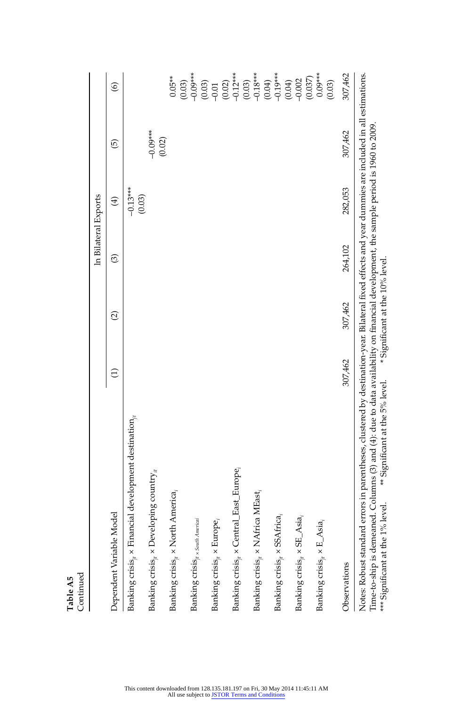|                                                                                                                                                                                                                                                                                                                                                                       |                 |                                 |                   | In Bilateral Exports |                      |                                                                                                                                                                                                                                                                                                                                                                                     |
|-----------------------------------------------------------------------------------------------------------------------------------------------------------------------------------------------------------------------------------------------------------------------------------------------------------------------------------------------------------------------|-----------------|---------------------------------|-------------------|----------------------|----------------------|-------------------------------------------------------------------------------------------------------------------------------------------------------------------------------------------------------------------------------------------------------------------------------------------------------------------------------------------------------------------------------------|
| Dependent Variable Model                                                                                                                                                                                                                                                                                                                                              | $\widehat{\Xi}$ | $\widehat{c}$                   | $\widehat{\odot}$ | $\bigoplus$          | 0                    | $\widehat{\circ}$                                                                                                                                                                                                                                                                                                                                                                   |
| Banking crisis <sub>it</sub> x Financial development destination,                                                                                                                                                                                                                                                                                                     |                 |                                 |                   | $-0.13***$<br>(0.03) |                      |                                                                                                                                                                                                                                                                                                                                                                                     |
| Banking crisis $_n \times$ Developing country $_n$                                                                                                                                                                                                                                                                                                                    |                 |                                 |                   |                      | $-0.09***$<br>(0.02) |                                                                                                                                                                                                                                                                                                                                                                                     |
| Banking crisis <sub>i</sub> x North America,                                                                                                                                                                                                                                                                                                                          |                 |                                 |                   |                      |                      | $0.05**$                                                                                                                                                                                                                                                                                                                                                                            |
| Banking crisis $\mu$ x South Americal                                                                                                                                                                                                                                                                                                                                 |                 |                                 |                   |                      |                      | $(0.03)$<br>$-0.09***$                                                                                                                                                                                                                                                                                                                                                              |
| Banking crisis <sub>it</sub> $\times$ Europe,                                                                                                                                                                                                                                                                                                                         |                 |                                 |                   |                      |                      |                                                                                                                                                                                                                                                                                                                                                                                     |
| Banking crisis, x Central_East_Europe,                                                                                                                                                                                                                                                                                                                                |                 |                                 |                   |                      |                      |                                                                                                                                                                                                                                                                                                                                                                                     |
| Banking crisis <sub>it</sub> x NAfrica MEast,                                                                                                                                                                                                                                                                                                                         |                 |                                 |                   |                      |                      | $\begin{array}{l} (0.03) \\[-4pt] (-0.01) \\[-4pt] (-0.22) \\[-4pt] (-0.12^{***} \\[-4pt] (-0.03) \\[-4pt] (-0.13^{***} \\[-4pt] (-0.13^{***} \\[-4pt] (-0.13^{***} \\[-4pt] (-0.13^{***} \\[-4pt] (-0.13^{***} \\[-4pt] (-0.13^{***} \\[-4pt] (-0.13^{***} \\[-4pt] (-0.13^{***} \\[-4pt] (-0.13^{***} \\[-4pt] (-0.13^{***} \\[-4pt] (-0.13^{***} \\[-4pt] (-0.13^{***} \\[-4pt]$ |
| Banking crisis <sub>it</sub> $\times$ SSAfrica <sub>i</sub>                                                                                                                                                                                                                                                                                                           |                 |                                 |                   |                      |                      |                                                                                                                                                                                                                                                                                                                                                                                     |
| Banking $\mathrm{crisis}_{ji}\times \mathrm{SE\_Asia}_{i}$                                                                                                                                                                                                                                                                                                            |                 |                                 |                   |                      |                      | (0.04)                                                                                                                                                                                                                                                                                                                                                                              |
| Banking crisis, $\times$ E_Asia,                                                                                                                                                                                                                                                                                                                                      |                 |                                 |                   |                      |                      | $(0.037)$<br>$0.09***$<br>(0.03)                                                                                                                                                                                                                                                                                                                                                    |
| Observations                                                                                                                                                                                                                                                                                                                                                          | 307,462         | 307,462                         | 264,102           | 282,053              | 307,462              | 307,462                                                                                                                                                                                                                                                                                                                                                                             |
| Notes: Robust standard errors in parentheses, clustered by destination-year. Bilateral fixed effects and year dummies are included in all estimations.<br>Time-to-ship is demeaned. Columns (3) and (4): due to data availability on financial development, the sample period is 1960 to 2009.<br>** Significant at the 5% level.<br>*** Significant at the 1% level. |                 | * Significant at the 10% level. |                   |                      |                      |                                                                                                                                                                                                                                                                                                                                                                                     |

Table A5<br>Continued Continued **Table A5**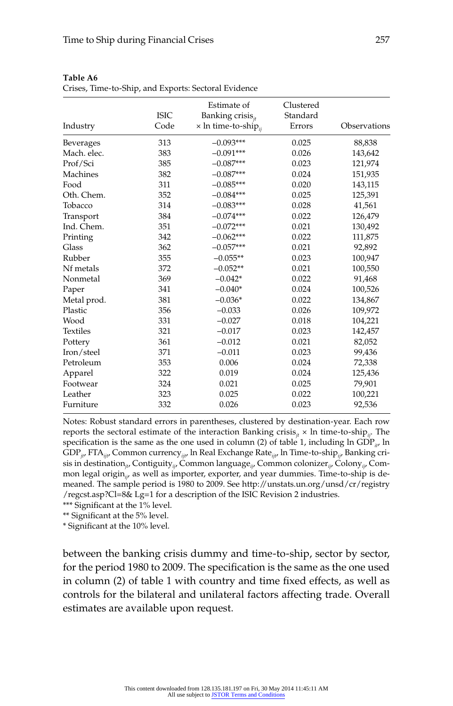| Industry         | <b>ISIC</b><br>Code | Estimate of<br>Banking crisis <sub>it</sub><br>$\times$ ln time-to-ship $_{ii}$ | Clustered<br>Standard<br>Errors | Observations |
|------------------|---------------------|---------------------------------------------------------------------------------|---------------------------------|--------------|
| <b>Beverages</b> | 313                 | $-0.093***$                                                                     | 0.025                           | 88,838       |
| Mach. elec.      | 383                 | $-0.091***$                                                                     | 0.026                           | 143,642      |
| Prof/Sci         | 385                 | $-0.087***$                                                                     | 0.023                           | 121,974      |
| Machines         | 382                 | $-0.087***$                                                                     | 0.024                           | 151,935      |
| Food             | 311                 | $-0.085***$                                                                     | 0.020                           | 143,115      |
| Oth. Chem.       | 352                 | $-0.084***$                                                                     | 0.025                           | 125,391      |
| Tobacco          | 314                 | $-0.083***$                                                                     | 0.028                           | 41,561       |
| Transport        | 384                 | $-0.074***$                                                                     | 0.022                           | 126,479      |
| Ind. Chem.       | 351                 | $-0.072***$                                                                     | 0.021                           | 130,492      |
| Printing         | 342                 | $-0.062***$                                                                     | 0.022                           | 111,875      |
| Glass            | 362                 | $-0.057***$                                                                     | 0.021                           | 92,892       |
| Rubber           | 355                 | $-0.055**$                                                                      | 0.023                           | 100,947      |
| Nf metals        | 372                 | $-0.052**$                                                                      | 0.021                           | 100,550      |
| Nonmetal         | 369                 | $-0.042*$                                                                       | 0.022                           | 91,468       |
| Paper            | 341                 | $-0.040*$                                                                       | 0.024                           | 100,526      |
| Metal prod.      | 381                 | $-0.036*$                                                                       | 0.022                           | 134,867      |
| Plastic          | 356                 | $-0.033$                                                                        | 0.026                           | 109,972      |
| Wood             | 331                 | $-0.027$                                                                        | 0.018                           | 104,221      |
| <b>Textiles</b>  | 321                 | $-0.017$                                                                        | 0.023                           | 142,457      |
| Pottery          | 361                 | $-0.012$                                                                        | 0.021                           | 82,052       |
| Iron/steel       | 371                 | $-0.011$                                                                        | 0.023                           | 99,436       |
| Petroleum        | 353                 | 0.006                                                                           | 0.024                           | 72,338       |
| Apparel          | 322                 | 0.019                                                                           | 0.024                           | 125,436      |
| Footwear         | 324                 | 0.021                                                                           | 0.025                           | 79,901       |
| Leather          | 323                 | 0.025                                                                           | 0.022                           | 100,221      |
| Furniture        | 332                 | 0.026                                                                           | 0.023                           | 92,536       |

| <b>Table A6</b>                                      |  |  |
|------------------------------------------------------|--|--|
| Crises, Time-to-Ship, and Exports: Sectoral Evidence |  |  |

Notes: Robust standard errors in parentheses, clustered by destination-year. Each row reports the sectoral estimate of the interaction Banking crisis<sub>it</sub>  $\times$  ln time-to-ship<sub>ij</sub>. The specification is the same as the one used in column (2) of table 1, including ln GDP<sub>it</sub>, ln GDP*jt*, FTA*ijt*, Common currency*ijt*, ln Real Exchange Rate*ijt*, ln Time- to- ship*ij*, Banking crisis in destination*jt*, Contiguity*ij*, Common language*ij*, Common colonizer*ij*, Colony*ij*, Common legal origin<sub>ij</sub>, as well as importer, exporter, and year dummies. Time-to-ship is demeaned. The sample period is 1980 to 2009. See http://unstats.un.org/unsd/cr/registry /regcst.asp?Cl=8& Lg=1 for a description of the ISIC Revision 2 industries.

\*\*\* Significant at the 1% level.

\*\* Significant at the 5% level.

\* Significant at the 10% level.

between the banking crisis dummy and time-to-ship, sector by sector, for the period 1980 to 2009. The specification is the same as the one used in column (2) of table 1 with country and time fixed effects, as well as controls for the bilateral and unilateral factors affecting trade. Overall estimates are available upon request.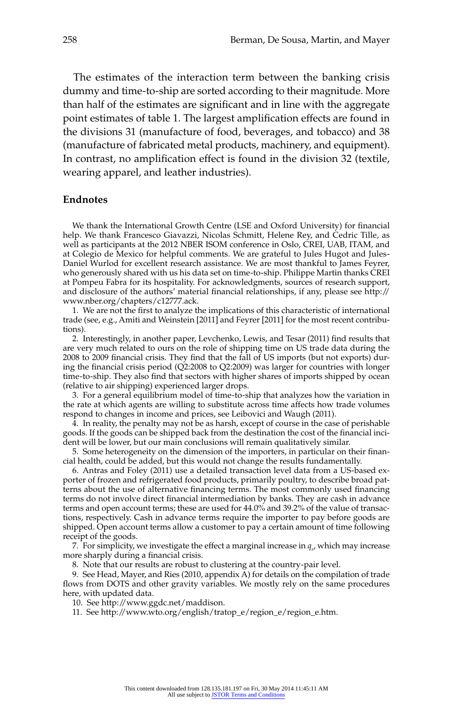The estimates of the interaction term between the banking crisis dummy and time-to-ship are sorted according to their magnitude. More than half of the estimates are significant and in line with the aggregate point estimates of table 1. The largest amplification effects are found in the divisions 31 (manufacture of food, beverages, and tobacco) and 38 (manufacture of fabricated metal products, machinery, and equipment). In contrast, no amplification effect is found in the division 32 (textile, wearing apparel, and leather industries).

#### **Endnotes**

We thank the International Growth Centre (LSE and Oxford University) for financial help. We thank Francesco Giavazzi, Nicolas Schmitt, Helene Rey, and Cedric Tille, as well as participants at the 2012 NBER ISOM conference in Oslo, CREI, UAB, ITAM, and at Colegio de Mexico for helpful comments. We are grateful to Jules Hugot and Jules-Daniel Wurlod for excellent research assistance. We are most thankful to James Feyrer, who generously shared with us his data set on time- to- ship. Philippe Martin thanks CREI at Pompeu Fabra for its hospitality. For acknowledgments, sources of research support, and disclosure of the authors' material financial relationships, if any, please see http:// www.nber.org/chapters/c12777.ack.

1. We are not the first to analyze the implications of this characteristic of international trade (see, e.g., Amiti and Weinstein [2011] and Feyrer [2011] for the most recent contributions).

2. Interestingly, in another paper, Levchenko, Lewis, and Tesar (2011) find results that are very much related to ours on the role of shipping time on US trade data during the 2008 to 2009 financial crisis. They find that the fall of US imports (but not exports) during the financial crisis period (Q2:2008 to Q2:2009) was larger for countries with longer time-to-ship. They also find that sectors with higher shares of imports shipped by ocean (relative to air shipping) experienced larger drops.

3. For a general equilibrium model of time- to- ship that analyzes how the variation in the rate at which agents are willing to substitute across time affects how trade volumes respond to changes in income and prices, see Leibovici and Waugh (2011).

4. In reality, the penalty may not be as harsh, except of course in the case of perishable goods. If the goods can be shipped back from the destination the cost of the financial incident will be lower, but our main conclusions will remain qualitatively similar.

5. Some heterogeneity on the dimension of the importers, in particular on their financial health, could be added, but this would not change the results fundamentally.

6. Antras and Foley (2011) use a detailed transaction level data from a US-based exporter of frozen and refrigerated food products, primarily poultry, to describe broad patterns about the use of alternative financing terms. The most commonly used financing terms do not involve direct financial intermediation by banks. They are cash in advance terms and open account terms; these are used for 44.0% and 39.2% of the value of transactions, respectively. Cash in advance terms require the importer to pay before goods are shipped. Open account terms allow a customer to pay a certain amount of time following receipt of the goods.

7. For simplicity, we investigate the effect a marginal increase in  $q_s$ , which may increase more sharply during a financial crisis.

8. Note that our results are robust to clustering at the country- pair level.

9. See Head, Mayer, and Ries (2010, appendix  $\overline{A}$ ) for details on the compilation of trade flows from DOTS and other gravity variables. We mostly rely on the same procedures here, with updated data.

10. See http://www.ggdc.net/maddison.

11. See http://www.wto.org/english/tratop\_e/region\_e/region\_e.htm.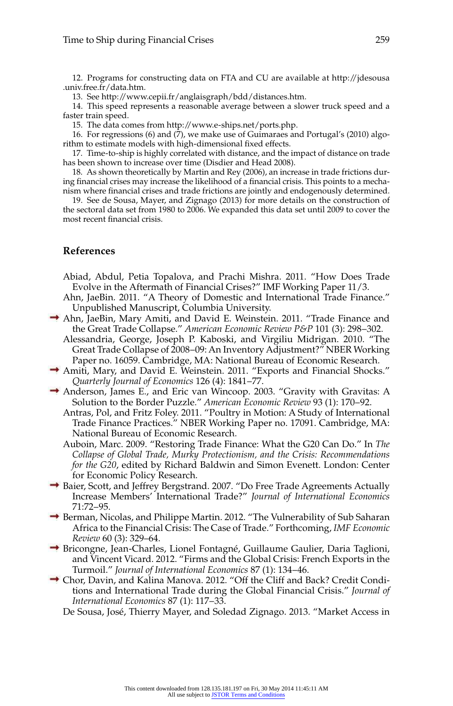12. Programs for constructing data on FTA and CU are available at http://jdesousa .univ.free.fr/data.htm.

13. See http://www.cepii.fr/anglaisgraph/bdd/distances.htm.

14. This speed represents a reasonable average between a slower truck speed and a faster train speed.

15. The data comes from http://www.e- ships.net/ports.php.

16. For regressions (6) and (7), we make use of Guimaraes and Portugal's (2010) algorithm to estimate models with high-dimensional fixed effects.

17. Time-to-ship is highly correlated with distance, and the impact of distance on trade has been shown to increase over time (Disdier and Head 2008).

18. As shown theoretically by Martin and Rey (2006), an increase in trade frictions during financial crises may increase the likelihood of a financial crisis. This points to a mechanism where financial crises and trade frictions are jointly and endogenously determined.

19. See de Sousa, Mayer, and Zignago (2013) for more details on the construction of the sectoral data set from 1980 to 2006. We expanded this data set until 2009 to cover the most recent financial crisis.

#### **References**

- Abiad, Abdul, Petia Topalova, and Prachi Mishra. 2011. "How Does Trade Evolve in the Aftermath of Financial Crises?" IMF Working Paper 11/3.
- Ahn, JaeBin. 2011. "A Theory of Domestic and International Trade Finance." Unpublished Manuscript, Columbia University.
- $\rightarrow$  Ahn, JaeBin, Mary Amiti, and David E. Weinstein. 2011. "Trade Finance and the Great Trade Collapse." *American Economic Review P&P* 101 (3): 298–302.
	- Alessandria, George, Joseph P. Kaboski, and Virgiliu Midrigan. 2010. "The Great Trade Collapse of 2008–09: An Inventory Adjustment?" NBER Working Paper no. 16059. Cambridge, MA: National Bureau of Economic Research.
- Amiti, Mary, and David E. Weinstein. 2011. "Exports and Financial Shocks." *Quarterly Journal of Economics* 126 (4): 1841–77.
- $\rightarrow$  Anderson, James E., and Eric van Wincoop. 2003. "Gravity with Gravitas: A Solution to the Border Puzzle." *American Economic Review* 93 (1): 170–92.
	- Antras, Pol, and Fritz Foley. 2011. "Poultry in Motion: A Study of International Trade Finance Practices." NBER Working Paper no. 17091. Cambridge, MA: National Bureau of Economic Research.
	- Auboin, Marc. 2009. "Restoring Trade Finance: What the G20 Can Do." In *The Collapse of Global Trade, Murky Protectionism, and the Crisis: Recommendations for the G20*, edited by Richard Baldwin and Simon Evenett. London: Center for Economic Policy Research.
- Baier, Scott, and Jeffrey Bergstrand. 2007. "Do Free Trade Agreements Actually Increase Members' International Trade?" *Journal of International Economics* 71:72–95.
- → Berman, Nicolas, and Philippe Martin. 2012. "The Vulnerability of Sub Saharan Africa to the Financial Crisis: The Case of Trade." Forthcoming, *IMF Economic Review* 60 (3): 329–64.
- $\rightarrow$  Bricongne, Jean-Charles, Lionel Fontagné, Guillaume Gaulier, Daria Taglioni, and Vincent Vicard. 2012. "Firms and the Global Crisis: French Exports in the Turmoil." *Journal of International Economics* 87 (1): 134–46.
- Chor, Davin, and Kalina Manova. 2012. "Off the Cliff and Back? Credit Conditions and International Trade during the Global Financial Crisis." *Journal of International Economics* 87 (1): 117–33.

De Sousa, José, Thierry Mayer, and Soledad Zignago. 2013. "Market Access in